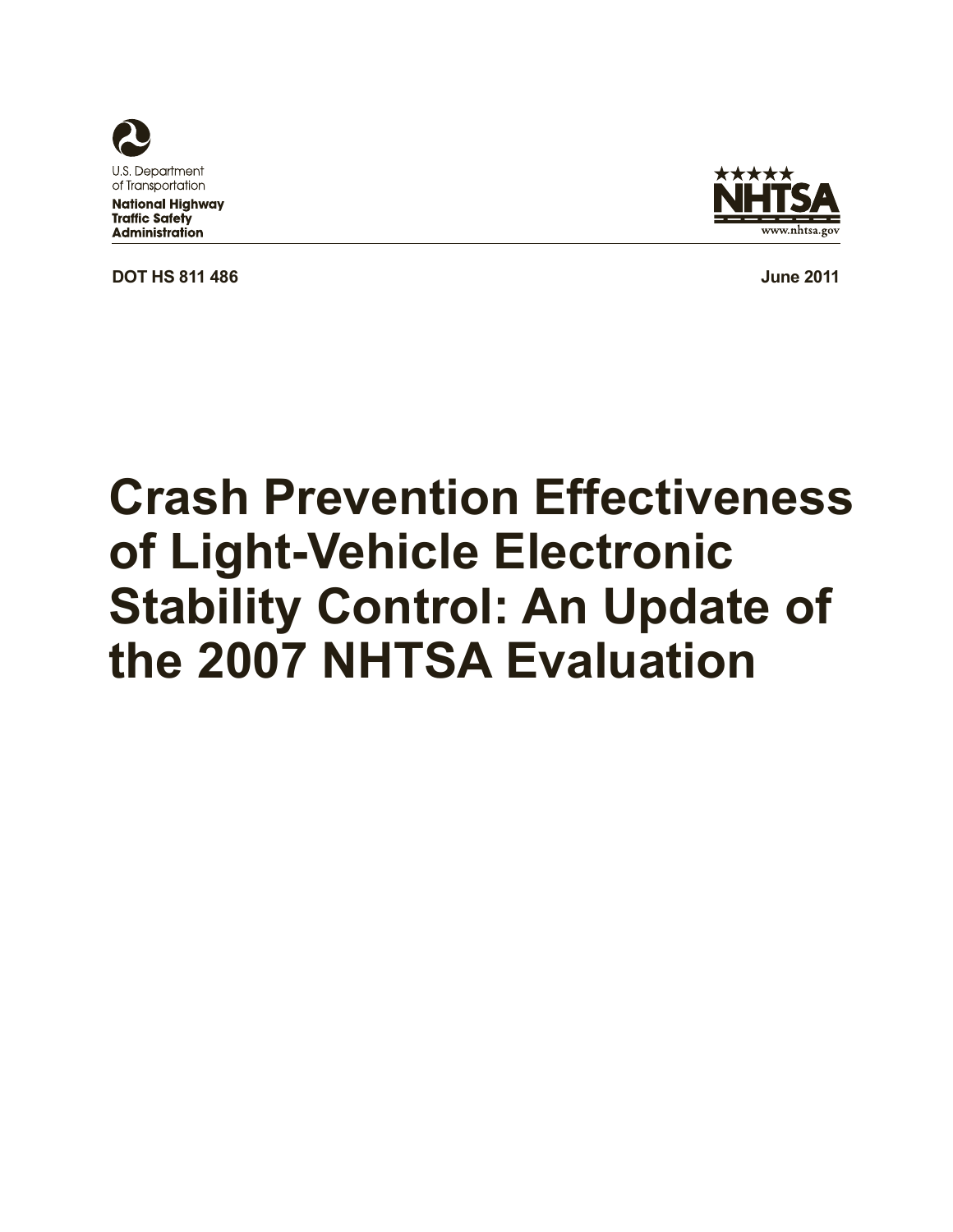

**Traffic Safety** 

**Administration** 



**DOT HS 811 486 June 2011** 

# **Crash Prevention Effectiveness of Light-Vehicle Electronic Stability Control: An Update of the 2007 NHTSA Evaluation**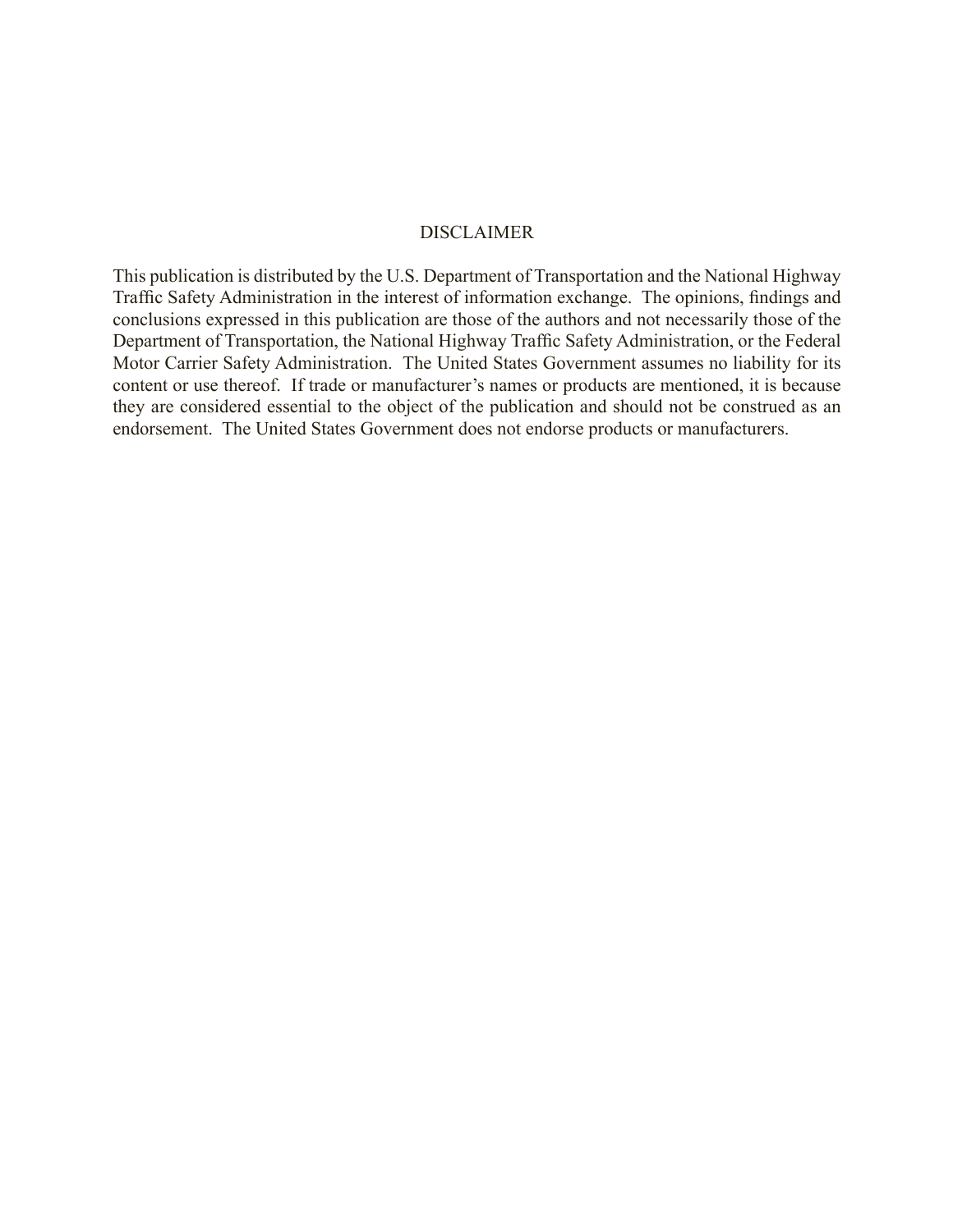#### DISCLAIMER

This publication is distributed by the U.S. Department of Transportation and the National Highway Traffic Safety Administration in the interest of information exchange. The opinions, findings and conclusions expressed in this publication are those of the authors and not necessarily those of the Department of Transportation, the National Highway Traffic Safety Administration, or the Federal Motor Carrier Safety Administration. The United States Government assumes no liability for its content or use thereof. If trade or manufacturer's names or products are mentioned, it is because they are considered essential to the object of the publication and should not be construed as an endorsement. The United States Government does not endorse products or manufacturers.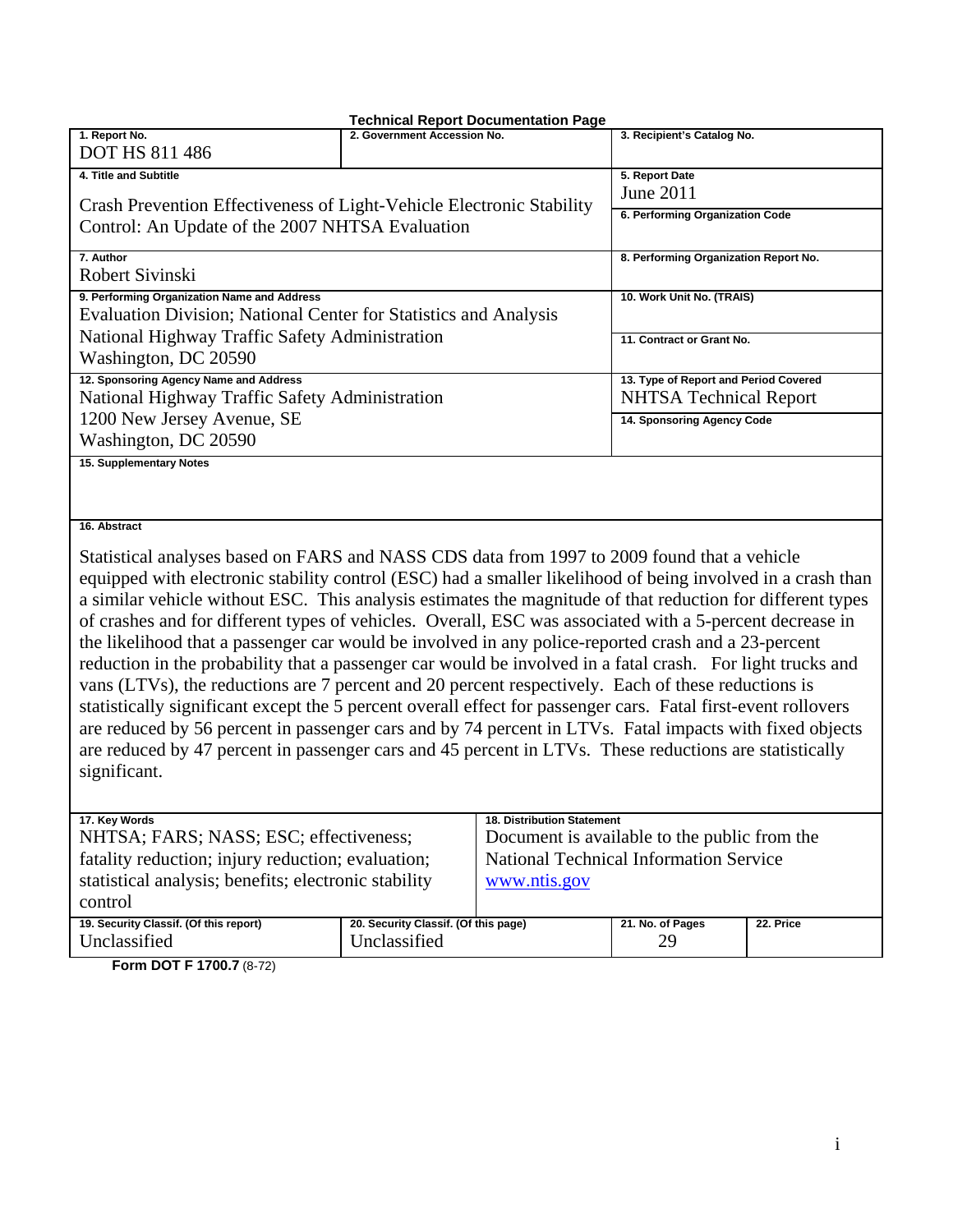#### **Technical Report Documentation Page 1. Report No.**  DOT HS 811 486 2. Government Accession No. **3. Recipient's Catalog No. 4. Title and Subtitle**  Crash Prevention Effectiveness of Light-Vehicle Electronic Stability Control: An Update of the 2007 NHTSA Evaluation **5. Report Date**  June 2011 **6. Performing Organization Code 7. Author**  Robert Sivinski **8. Performing Organization Report No. 9. Performing Organization Name and Address**  Evaluation Division; National Center for Statistics and Analysis National Highway Traffic Safety Administration Washington, DC 20590 **10. Work Unit No. (TRAIS) 11. Contract or Grant No. 12. Sponsoring Agency Name and Address**  National Highway Traffic Safety Administration 1200 New Jersey Avenue, SE Washington, DC 20590 **13. Type of Report and Period Covered**  NHTSA Technical Report **14. Sponsoring Agency Code 15. Supplementary Notes**

#### **16. Abstract**

Statistical analyses based on FARS and NASS CDS data from 1997 to 2009 found that a vehicle equipped with electronic stability control (ESC) had a smaller likelihood of being involved in a crash than a similar vehicle without ESC. This analysis estimates the magnitude of that reduction for different types of crashes and for different types of vehicles. Overall, ESC was associated with a 5-percent decrease in the likelihood that a passenger car would be involved in any police-reported crash and a 23-percent reduction in the probability that a passenger car would be involved in a fatal crash. For light trucks and vans (LTVs), the reductions are 7 percent and 20 percent respectively. Each of these reductions is statistically significant except the 5 percent overall effect for passenger cars. Fatal first-event rollovers are reduced by 56 percent in passenger cars and by 74 percent in LTVs. Fatal impacts with fixed objects are reduced by 47 percent in passenger cars and 45 percent in LTVs. These reductions are statistically significant.

| 17. Key Words                                        |                                      | <b>18. Distribution Statement</b>            |                  |           |
|------------------------------------------------------|--------------------------------------|----------------------------------------------|------------------|-----------|
| NHTSA; FARS; NASS; ESC; effectiveness;               |                                      | Document is available to the public from the |                  |           |
| fatality reduction; injury reduction; evaluation;    |                                      | National Technical Information Service       |                  |           |
| statistical analysis; benefits; electronic stability |                                      | www.ntis.gov                                 |                  |           |
| control                                              |                                      |                                              |                  |           |
| 19. Security Classif. (Of this report)               | 20. Security Classif. (Of this page) |                                              | 21. No. of Pages | 22. Price |
| Unclassified                                         | Unclassified                         |                                              | 29               |           |
| F <b>DOT F 4700 7</b> 10 701                         |                                      |                                              |                  |           |

**Form DOT F 1700.7** (8-72)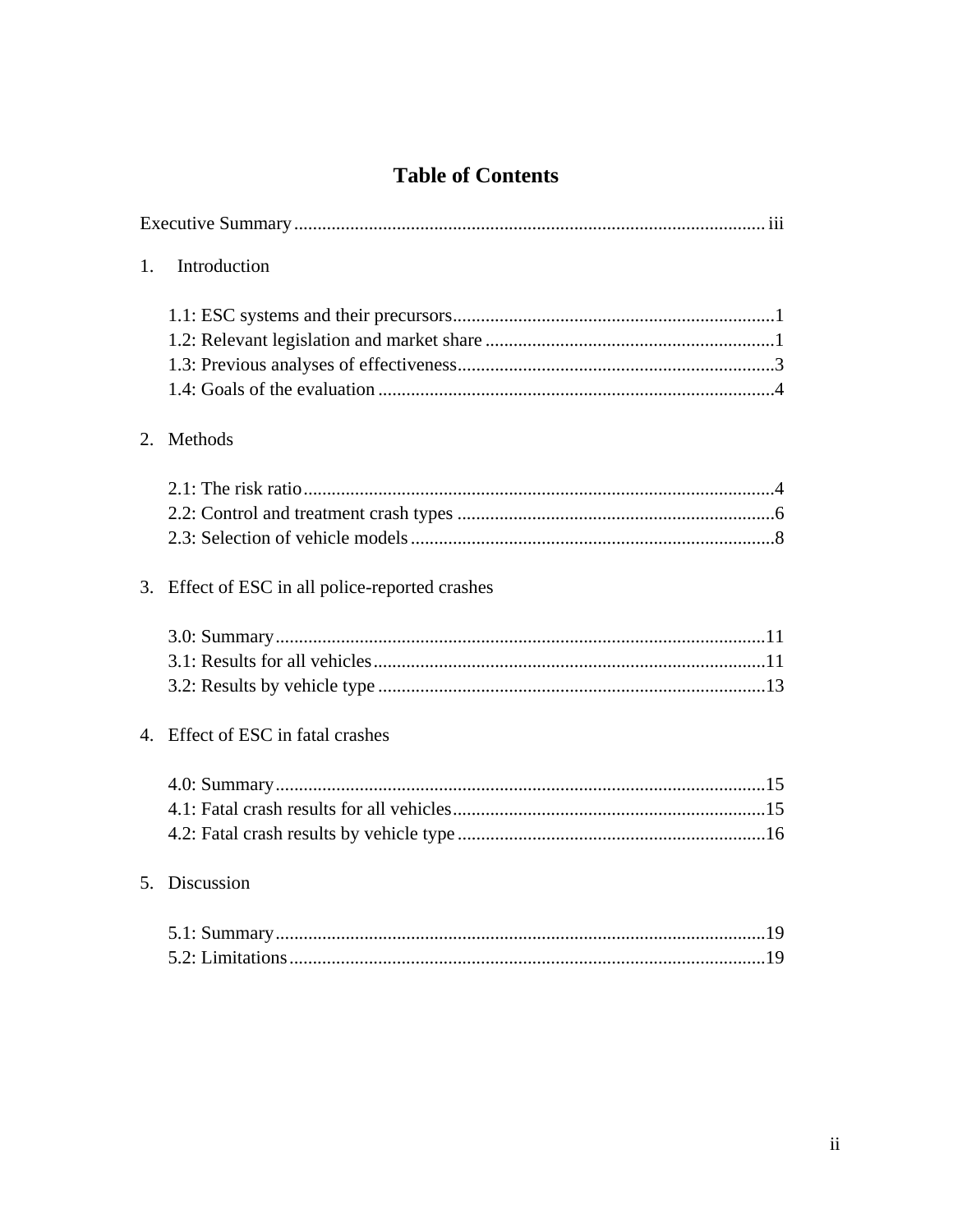# **Table of Contents**

| 1. | Introduction                                    |
|----|-------------------------------------------------|
|    |                                                 |
|    | 2. Methods                                      |
|    |                                                 |
|    | 3. Effect of ESC in all police-reported crashes |
|    |                                                 |
|    | 4. Effect of ESC in fatal crashes               |
|    |                                                 |
|    | 5. Discussion                                   |
|    |                                                 |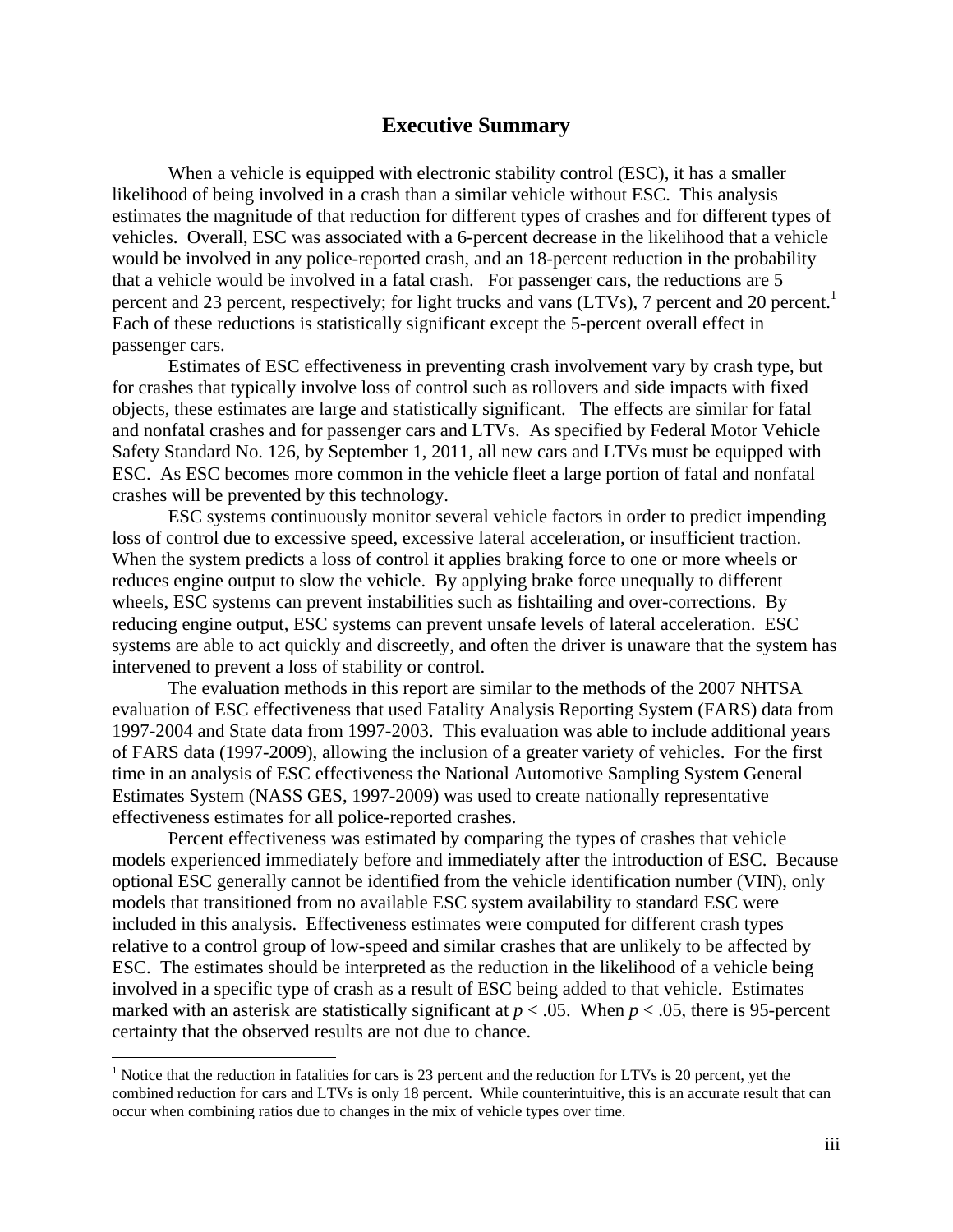#### **Executive Summary**

When a vehicle is equipped with electronic stability control (ESC), it has a smaller likelihood of being involved in a crash than a similar vehicle without ESC. This analysis estimates the magnitude of that reduction for different types of crashes and for different types of vehicles. Overall, ESC was associated with a 6-percent decrease in the likelihood that a vehicle would be involved in any police-reported crash, and an 18-percent reduction in the probability that a vehicle would be involved in a fatal crash. For passenger cars, the reductions are 5 percent and 23 percent, respectively; for light trucks and vans (LTVs), 7 percent and 20 percent.<sup>1</sup> Each of these reductions is statistically significant except the 5-percent overall effect in passenger cars.

 Estimates of ESC effectiveness in preventing crash involvement vary by crash type, but for crashes that typically involve loss of control such as rollovers and side impacts with fixed objects, these estimates are large and statistically significant. The effects are similar for fatal and nonfatal crashes and for passenger cars and LTVs. As specified by Federal Motor Vehicle Safety Standard No. 126, by September 1, 2011, all new cars and LTVs must be equipped with ESC. As ESC becomes more common in the vehicle fleet a large portion of fatal and nonfatal crashes will be prevented by this technology.

ESC systems continuously monitor several vehicle factors in order to predict impending loss of control due to excessive speed, excessive lateral acceleration, or insufficient traction. When the system predicts a loss of control it applies braking force to one or more wheels or reduces engine output to slow the vehicle. By applying brake force unequally to different wheels, ESC systems can prevent instabilities such as fishtailing and over-corrections. By reducing engine output, ESC systems can prevent unsafe levels of lateral acceleration. ESC systems are able to act quickly and discreetly, and often the driver is unaware that the system has intervened to prevent a loss of stability or control.

The evaluation methods in this report are similar to the methods of the 2007 NHTSA evaluation of ESC effectiveness that used Fatality Analysis Reporting System (FARS) data from 1997-2004 and State data from 1997-2003. This evaluation was able to include additional years of FARS data (1997-2009), allowing the inclusion of a greater variety of vehicles. For the first time in an analysis of ESC effectiveness the National Automotive Sampling System General Estimates System (NASS GES, 1997-2009) was used to create nationally representative effectiveness estimates for all police-reported crashes.

Percent effectiveness was estimated by comparing the types of crashes that vehicle models experienced immediately before and immediately after the introduction of ESC. Because optional ESC generally cannot be identified from the vehicle identification number (VIN), only models that transitioned from no available ESC system availability to standard ESC were included in this analysis. Effectiveness estimates were computed for different crash types relative to a control group of low-speed and similar crashes that are unlikely to be affected by ESC. The estimates should be interpreted as the reduction in the likelihood of a vehicle being involved in a specific type of crash as a result of ESC being added to that vehicle. Estimates marked with an asterisk are statistically significant at  $p < .05$ . When  $p < .05$ , there is 95-percent certainty that the observed results are not due to chance.

 $\overline{a}$ 

<sup>&</sup>lt;sup>1</sup> Notice that the reduction in fatalities for cars is 23 percent and the reduction for LTVs is 20 percent, yet the combined reduction for cars and LTVs is only 18 percent. While counterintuitive, this is an accurate result that can occur when combining ratios due to changes in the mix of vehicle types over time.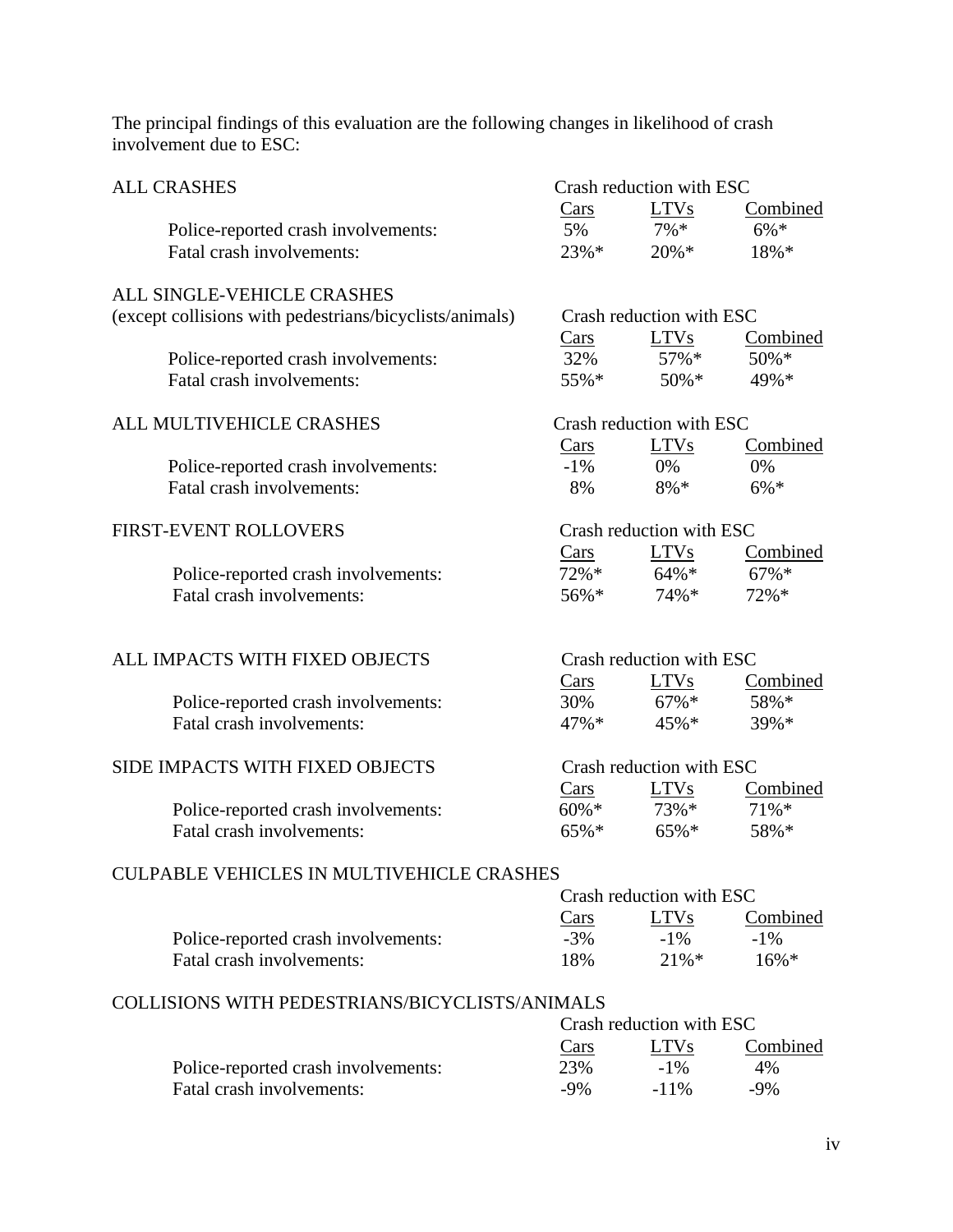The principal findings of this evaluation are the following changes in likelihood of crash involvement due to ESC:

| <b>ALL CRASHES</b>                                      | Crash reduction with ESC |                          |                |
|---------------------------------------------------------|--------------------------|--------------------------|----------------|
|                                                         | $\frac{Cars}{2}$         | LTVs                     | Combined       |
| Police-reported crash involvements:                     | 5%                       | $7\% *$                  | $6\% *$        |
| Fatal crash involvements:                               | $23\% *$                 | $20\% *$                 | 18%*           |
| ALL SINGLE-VEHICLE CRASHES                              |                          |                          |                |
| (except collisions with pedestrians/bicyclists/animals) |                          | Crash reduction with ESC |                |
|                                                         | Cars                     | <b>LTVs</b>              | Combined       |
| Police-reported crash involvements:                     | 32%                      | $57\%*$                  | 50%*           |
| Fatal crash involvements:                               | 55%*                     | $50\% *$                 | 49%*           |
|                                                         |                          |                          |                |
| ALL MULTIVEHICLE CRASHES                                |                          | Crash reduction with ESC |                |
|                                                         | Cars                     | <b>LTVs</b>              | Combined       |
| Police-reported crash involvements:                     | $-1\%$                   | 0%                       | 0%             |
| Fatal crash involvements:                               | 8%                       | $8\% *$                  | $6\% *$        |
| <b>FIRST-EVENT ROLLOVERS</b>                            |                          | Crash reduction with ESC |                |
|                                                         | Cars                     | <b>LTVs</b>              | Combined       |
| Police-reported crash involvements:                     | $72%$ *                  | $64\% *$                 | $67\%*$        |
| Fatal crash involvements:                               | $56\% *$                 | $74\%*$                  | 72%*           |
|                                                         |                          |                          |                |
|                                                         |                          |                          |                |
|                                                         |                          |                          |                |
| ALL IMPACTS WITH FIXED OBJECTS                          |                          | Crash reduction with ESC |                |
|                                                         | $\frac{Cars}{2}$         | <b>LTVs</b>              | Combined       |
| Police-reported crash involvements:                     | 30%                      | $67\% *$                 | 58%*           |
| Fatal crash involvements:                               | 47%*                     | $45\%*$                  | 39%*           |
| SIDE IMPACTS WITH FIXED OBJECTS                         |                          | Crash reduction with ESC |                |
|                                                         | $\frac{Cars}{2}$         | <b>LTVs</b>              | Combined       |
| Police-reported crash involvements:                     | $60\% *$                 | 73%*                     | $71\%*$        |
| Fatal crash involvements:                               | $65\% *$                 | 65%*                     | 58%*           |
|                                                         |                          |                          |                |
| <b>CULPABLE VEHICLES IN MULTIVEHICLE CRASHES</b>        |                          |                          |                |
|                                                         |                          | Crash reduction with ESC |                |
|                                                         | $\frac{Cars}{2}$         | <b>LTVs</b>              | Combined       |
| Police-reported crash involvements:                     | $-3%$                    | $-1\%$                   | $-1\%$         |
| Fatal crash involvements:                               | 18%                      | $21\% *$                 | $16\% *$       |
| COLLISIONS WITH PEDESTRIANS/BICYCLISTS/ANIMALS          |                          |                          |                |
|                                                         |                          | Crash reduction with ESC |                |
| Police-reported crash involvements:                     | Cars<br>23%              | <b>LTVs</b><br>$-1\%$    | Combined<br>4% |

Fatal crash involvements:  $-9\%$  -11% -9%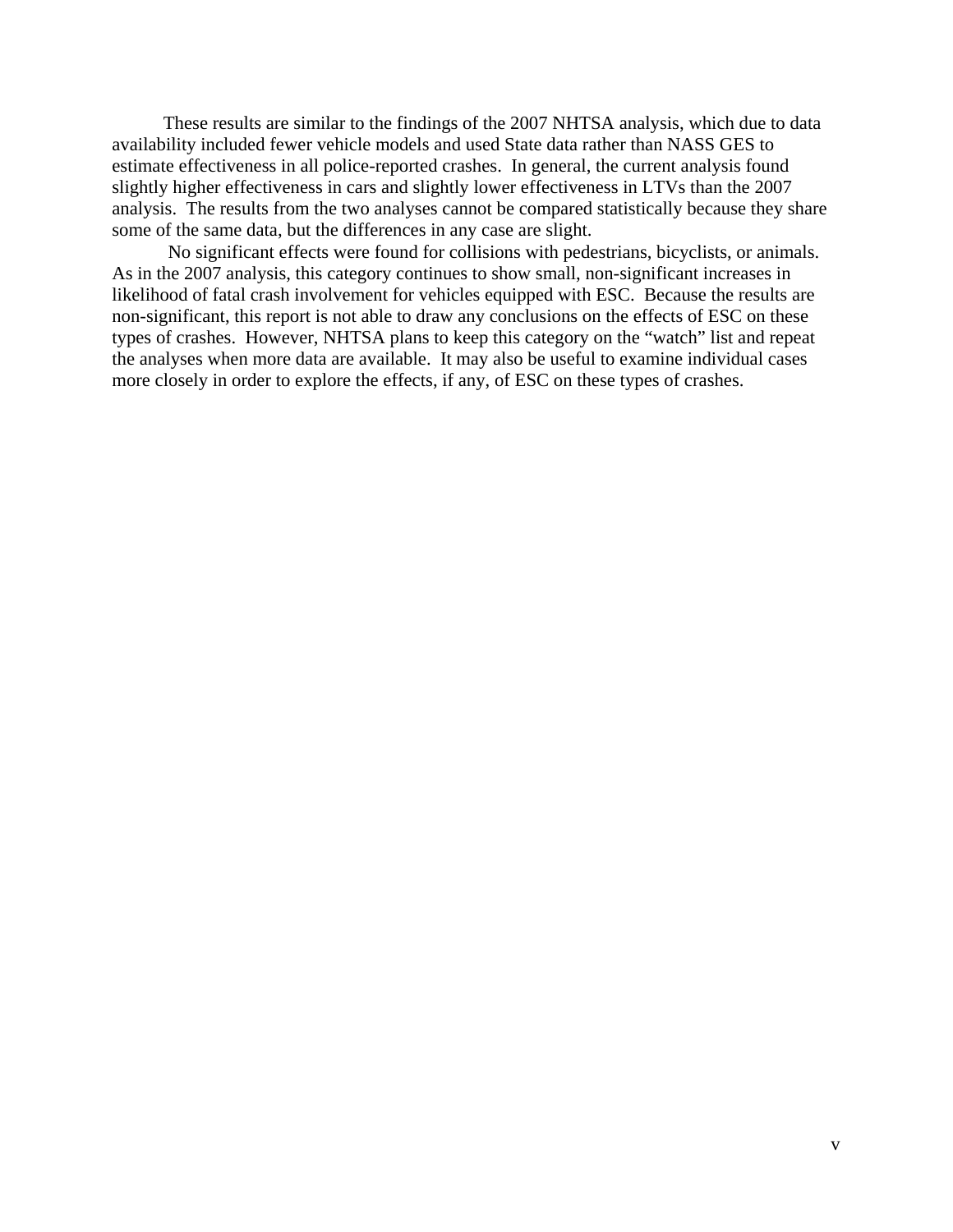These results are similar to the findings of the 2007 NHTSA analysis, which due to data availability included fewer vehicle models and used State data rather than NASS GES to estimate effectiveness in all police-reported crashes. In general, the current analysis found slightly higher effectiveness in cars and slightly lower effectiveness in LTVs than the 2007 analysis. The results from the two analyses cannot be compared statistically because they share some of the same data, but the differences in any case are slight.

No significant effects were found for collisions with pedestrians, bicyclists, or animals. As in the 2007 analysis, this category continues to show small, non-significant increases in likelihood of fatal crash involvement for vehicles equipped with ESC. Because the results are non-significant, this report is not able to draw any conclusions on the effects of ESC on these types of crashes. However, NHTSA plans to keep this category on the "watch" list and repeat the analyses when more data are available. It may also be useful to examine individual cases more closely in order to explore the effects, if any, of ESC on these types of crashes.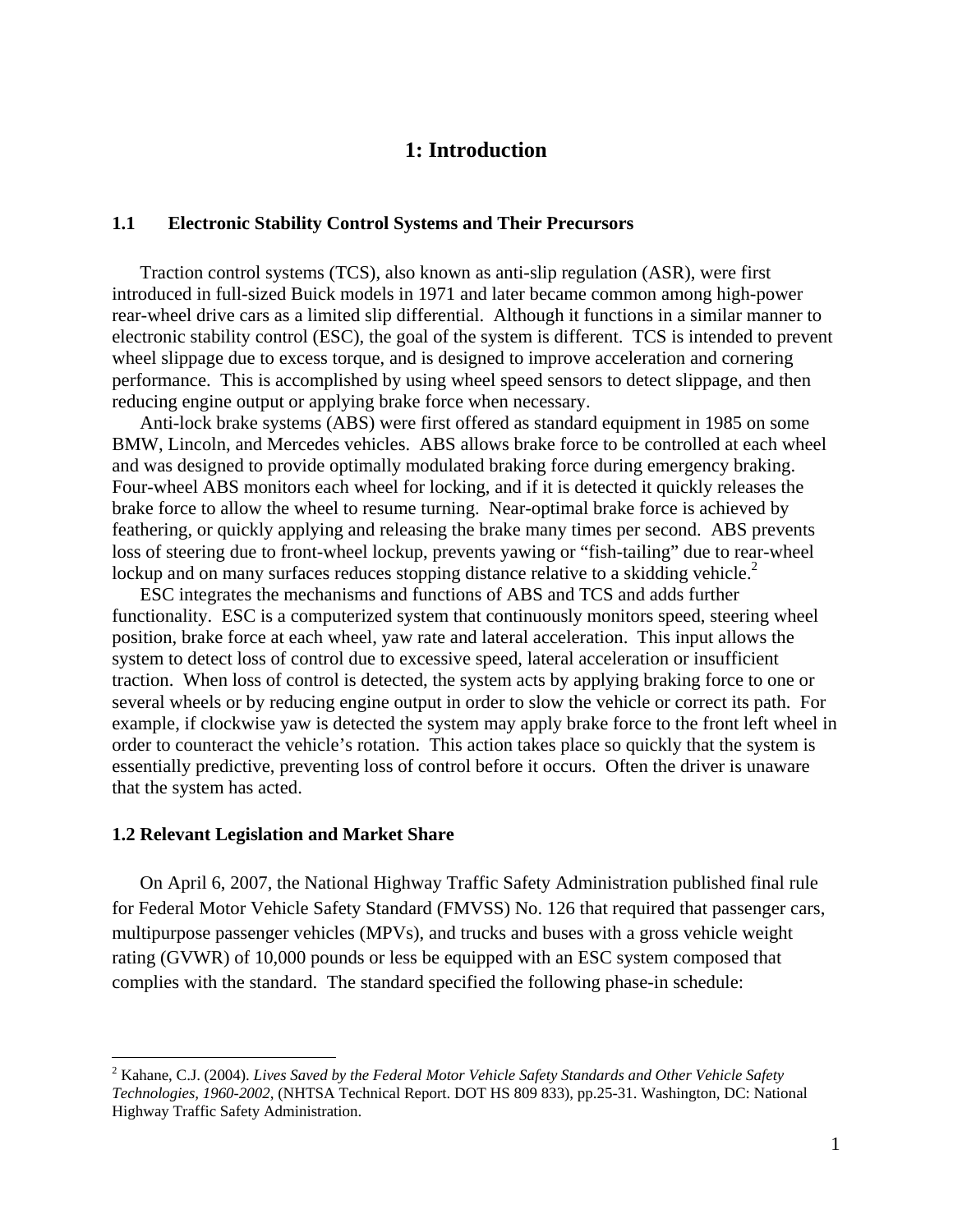# **1: Introduction**

#### **1.1 Electronic Stability Control Systems and Their Precursors**

Traction control systems (TCS), also known as anti-slip regulation (ASR), were first introduced in full-sized Buick models in 1971 and later became common among high-power rear-wheel drive cars as a limited slip differential. Although it functions in a similar manner to electronic stability control (ESC), the goal of the system is different. TCS is intended to prevent wheel slippage due to excess torque, and is designed to improve acceleration and cornering performance. This is accomplished by using wheel speed sensors to detect slippage, and then reducing engine output or applying brake force when necessary.

Anti-lock brake systems (ABS) were first offered as standard equipment in 1985 on some BMW, Lincoln, and Mercedes vehicles. ABS allows brake force to be controlled at each wheel and was designed to provide optimally modulated braking force during emergency braking. Four-wheel ABS monitors each wheel for locking, and if it is detected it quickly releases the brake force to allow the wheel to resume turning. Near-optimal brake force is achieved by feathering, or quickly applying and releasing the brake many times per second. ABS prevents loss of steering due to front-wheel lockup, prevents yawing or "fish-tailing" due to rear-wheel lockup and on many surfaces reduces stopping distance relative to a skidding vehicle.<sup>2</sup>

ESC integrates the mechanisms and functions of ABS and TCS and adds further functionality. ESC is a computerized system that continuously monitors speed, steering wheel position, brake force at each wheel, yaw rate and lateral acceleration. This input allows the system to detect loss of control due to excessive speed, lateral acceleration or insufficient traction. When loss of control is detected, the system acts by applying braking force to one or several wheels or by reducing engine output in order to slow the vehicle or correct its path. For example, if clockwise yaw is detected the system may apply brake force to the front left wheel in order to counteract the vehicle's rotation. This action takes place so quickly that the system is essentially predictive, preventing loss of control before it occurs. Often the driver is unaware that the system has acted.

#### **1.2 Relevant Legislation and Market Share**

 $\overline{a}$ 

On April 6, 2007, the National Highway Traffic Safety Administration published final rule for Federal Motor Vehicle Safety Standard (FMVSS) No. 126 that required that passenger cars, multipurpose passenger vehicles (MPVs), and trucks and buses with a gross vehicle weight rating (GVWR) of 10,000 pounds or less be equipped with an ESC system composed that complies with the standard. The standard specified the following phase-in schedule:

<sup>2</sup> Kahane, C.J. (2004). *Lives Saved by the Federal Motor Vehicle Safety Standards and Other Vehicle Safety Technologies, 1960-2002*, (NHTSA Technical Report. DOT HS 809 833), pp.25-31. Washington, DC: National Highway Traffic Safety Administration.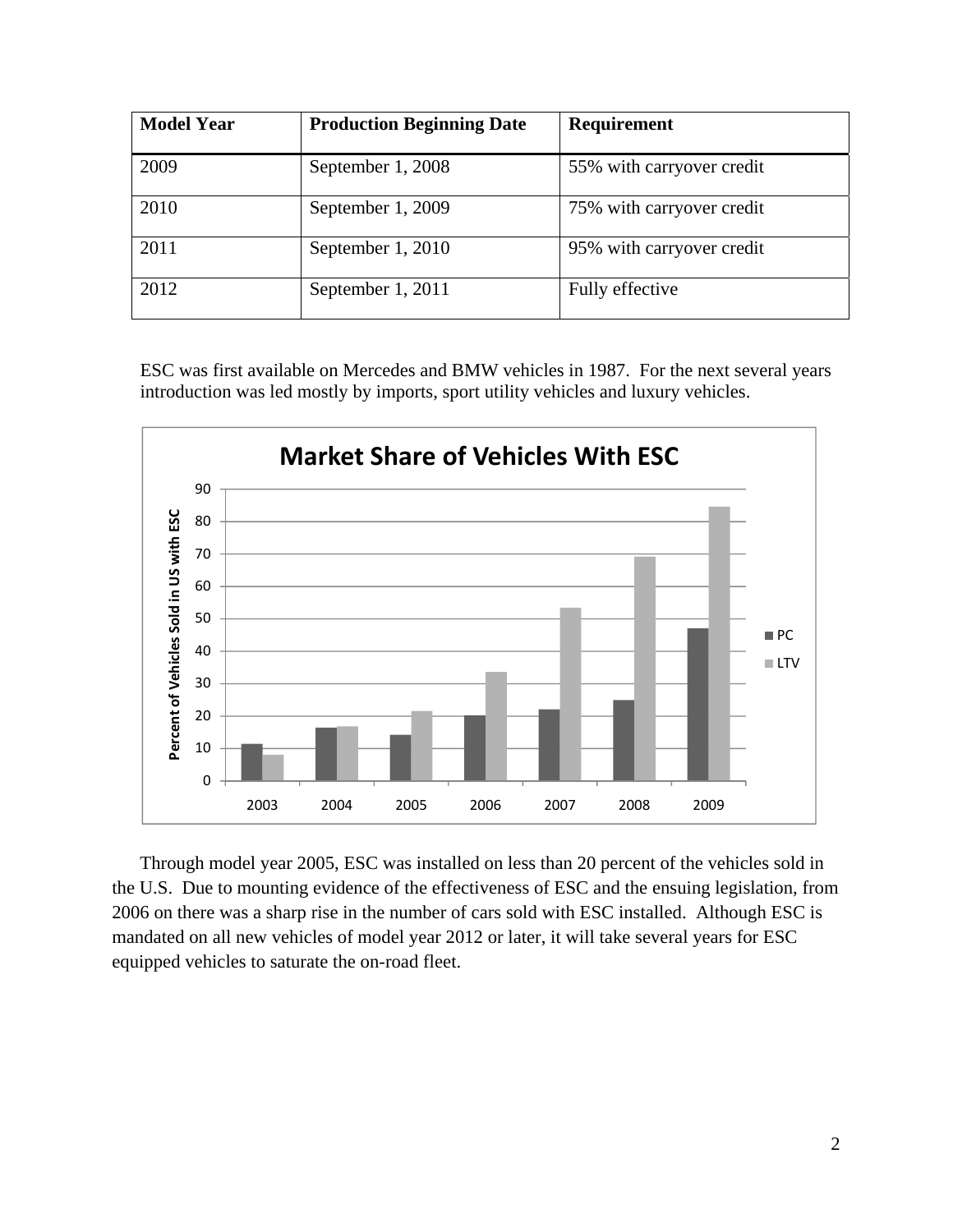| <b>Model Year</b> | <b>Production Beginning Date</b> | Requirement               |
|-------------------|----------------------------------|---------------------------|
| 2009              | September 1, 2008                | 55% with carryover credit |
| 2010              | September 1, 2009                | 75% with carryover credit |
| 2011              | September 1, 2010                | 95% with carryover credit |
| 2012              | September 1, 2011                | Fully effective           |

 ESC was first available on Mercedes and BMW vehicles in 1987. For the next several years introduction was led mostly by imports, sport utility vehicles and luxury vehicles.



Through model year 2005, ESC was installed on less than 20 percent of the vehicles sold in the U.S. Due to mounting evidence of the effectiveness of ESC and the ensuing legislation, from 2006 on there was a sharp rise in the number of cars sold with ESC installed. Although ESC is mandated on all new vehicles of model year 2012 or later, it will take several years for ESC equipped vehicles to saturate the on-road fleet.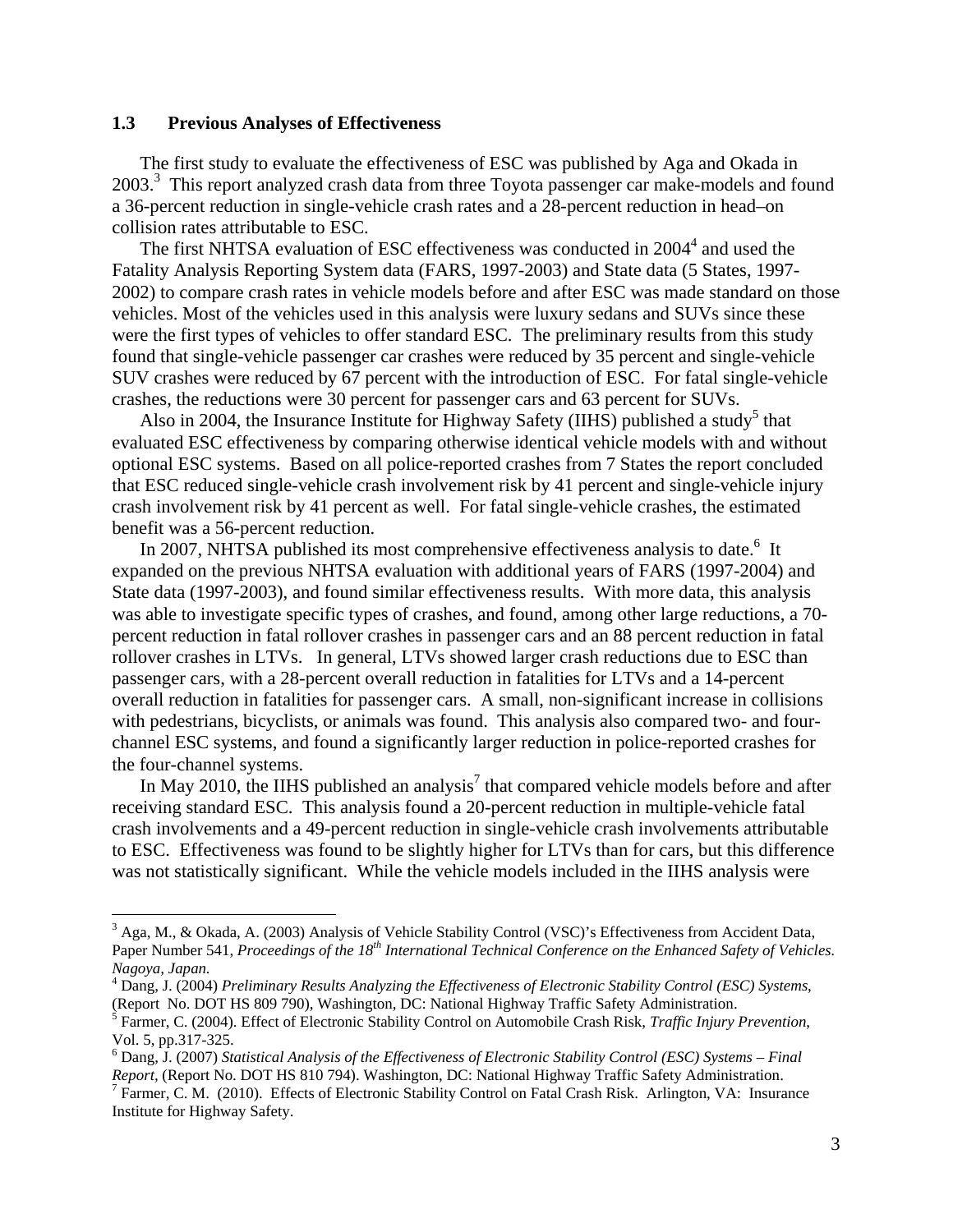#### **1.3 Previous Analyses of Effectiveness**

 $\overline{a}$ 

The first study to evaluate the effectiveness of ESC was published by Aga and Okada in 2003.<sup>3</sup> This report analyzed crash data from three Toyota passenger car make-models and found a 36-percent reduction in single-vehicle crash rates and a 28-percent reduction in head–on collision rates attributable to ESC.

The first NHTSA evaluation of ESC effectiveness was conducted in  $2004<sup>4</sup>$  and used the Fatality Analysis Reporting System data (FARS, 1997-2003) and State data (5 States, 1997- 2002) to compare crash rates in vehicle models before and after ESC was made standard on those vehicles. Most of the vehicles used in this analysis were luxury sedans and SUVs since these were the first types of vehicles to offer standard ESC. The preliminary results from this study found that single-vehicle passenger car crashes were reduced by 35 percent and single-vehicle SUV crashes were reduced by 67 percent with the introduction of ESC. For fatal single-vehicle crashes, the reductions were 30 percent for passenger cars and 63 percent for SUVs.

Also in 2004, the Insurance Institute for Highway Safety (IIHS) published a study<sup>5</sup> that evaluated ESC effectiveness by comparing otherwise identical vehicle models with and without optional ESC systems. Based on all police-reported crashes from 7 States the report concluded that ESC reduced single-vehicle crash involvement risk by 41 percent and single-vehicle injury crash involvement risk by 41 percent as well. For fatal single-vehicle crashes, the estimated benefit was a 56-percent reduction.

In 2007, NHTSA published its most comprehensive effectiveness analysis to date.<sup>6</sup> It expanded on the previous NHTSA evaluation with additional years of FARS (1997-2004) and State data (1997-2003), and found similar effectiveness results. With more data, this analysis was able to investigate specific types of crashes, and found, among other large reductions, a 70 percent reduction in fatal rollover crashes in passenger cars and an 88 percent reduction in fatal rollover crashes in LTVs. In general, LTVs showed larger crash reductions due to ESC than passenger cars, with a 28-percent overall reduction in fatalities for LTVs and a 14-percent overall reduction in fatalities for passenger cars. A small, non-significant increase in collisions with pedestrians, bicyclists, or animals was found. This analysis also compared two- and fourchannel ESC systems, and found a significantly larger reduction in police-reported crashes for the four-channel systems.

In May 2010, the IIHS published an analysis<sup>7</sup> that compared vehicle models before and after receiving standard ESC. This analysis found a 20-percent reduction in multiple-vehicle fatal crash involvements and a 49-percent reduction in single-vehicle crash involvements attributable to ESC. Effectiveness was found to be slightly higher for LTVs than for cars, but this difference was not statistically significant. While the vehicle models included in the IIHS analysis were

<sup>&</sup>lt;sup>3</sup> Aga, M., & Okada, A. (2003) Analysis of Vehicle Stability Control (VSC)'s Effectiveness from Accident Data, Paper Number 541, *Proceedings of the 18<sup>th</sup> International Technical Conference on the Enhanced Safety of Vehicles. Nagoya, Japan.* 

<sup>4</sup> Dang, J. (2004) *Preliminary Results Analyzing the Effectiveness of Electronic Stability Control (ESC) Systems*, (Report No. DOT HS 809 790), Washington, DC: National Highway Traffic Safety Administration.

<sup>5</sup> Farmer, C. (2004). Effect of Electronic Stability Control on Automobile Crash Risk, *Traffic Injury Prevention*, Vol. 5, pp.317-325.

<sup>6</sup> Dang, J. (2007) *Statistical Analysis of the Effectiveness of Electronic Stability Control (ESC) Systems – Final Report, (Report No. DOT HS 810 794). Washington, DC: National Highway Traffic Safety Administration.* 

<sup>&</sup>lt;sup>7</sup> Farmer, C. M. (2010). Effects of Electronic Stability Control on Fatal Crash Risk. Arlington, VA: Insurance Institute for Highway Safety.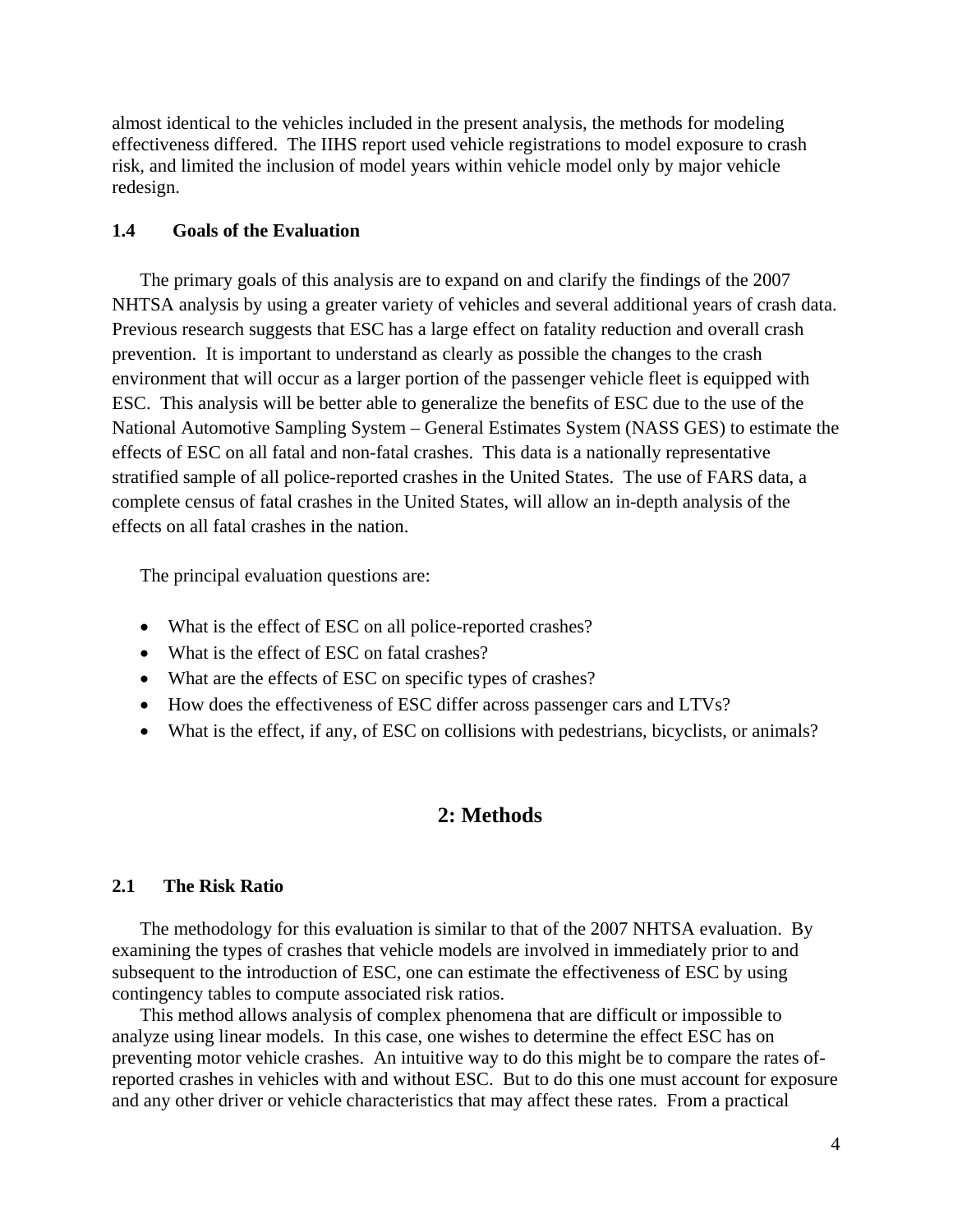almost identical to the vehicles included in the present analysis, the methods for modeling effectiveness differed. The IIHS report used vehicle registrations to model exposure to crash risk, and limited the inclusion of model years within vehicle model only by major vehicle redesign.

#### **1.4 Goals of the Evaluation**

The primary goals of this analysis are to expand on and clarify the findings of the 2007 NHTSA analysis by using a greater variety of vehicles and several additional years of crash data. Previous research suggests that ESC has a large effect on fatality reduction and overall crash prevention. It is important to understand as clearly as possible the changes to the crash environment that will occur as a larger portion of the passenger vehicle fleet is equipped with ESC. This analysis will be better able to generalize the benefits of ESC due to the use of the National Automotive Sampling System – General Estimates System (NASS GES) to estimate the effects of ESC on all fatal and non-fatal crashes. This data is a nationally representative stratified sample of all police-reported crashes in the United States. The use of FARS data, a complete census of fatal crashes in the United States, will allow an in-depth analysis of the effects on all fatal crashes in the nation.

The principal evaluation questions are:

- What is the effect of ESC on all police-reported crashes?
- What is the effect of ESC on fatal crashes?
- What are the effects of ESC on specific types of crashes?
- How does the effectiveness of ESC differ across passenger cars and LTVs?
- What is the effect, if any, of ESC on collisions with pedestrians, bicyclists, or animals?

# **2: Methods**

#### **2.1 The Risk Ratio**

The methodology for this evaluation is similar to that of the 2007 NHTSA evaluation. By examining the types of crashes that vehicle models are involved in immediately prior to and subsequent to the introduction of ESC, one can estimate the effectiveness of ESC by using contingency tables to compute associated risk ratios.

This method allows analysis of complex phenomena that are difficult or impossible to analyze using linear models. In this case, one wishes to determine the effect ESC has on preventing motor vehicle crashes. An intuitive way to do this might be to compare the rates ofreported crashes in vehicles with and without ESC. But to do this one must account for exposure and any other driver or vehicle characteristics that may affect these rates. From a practical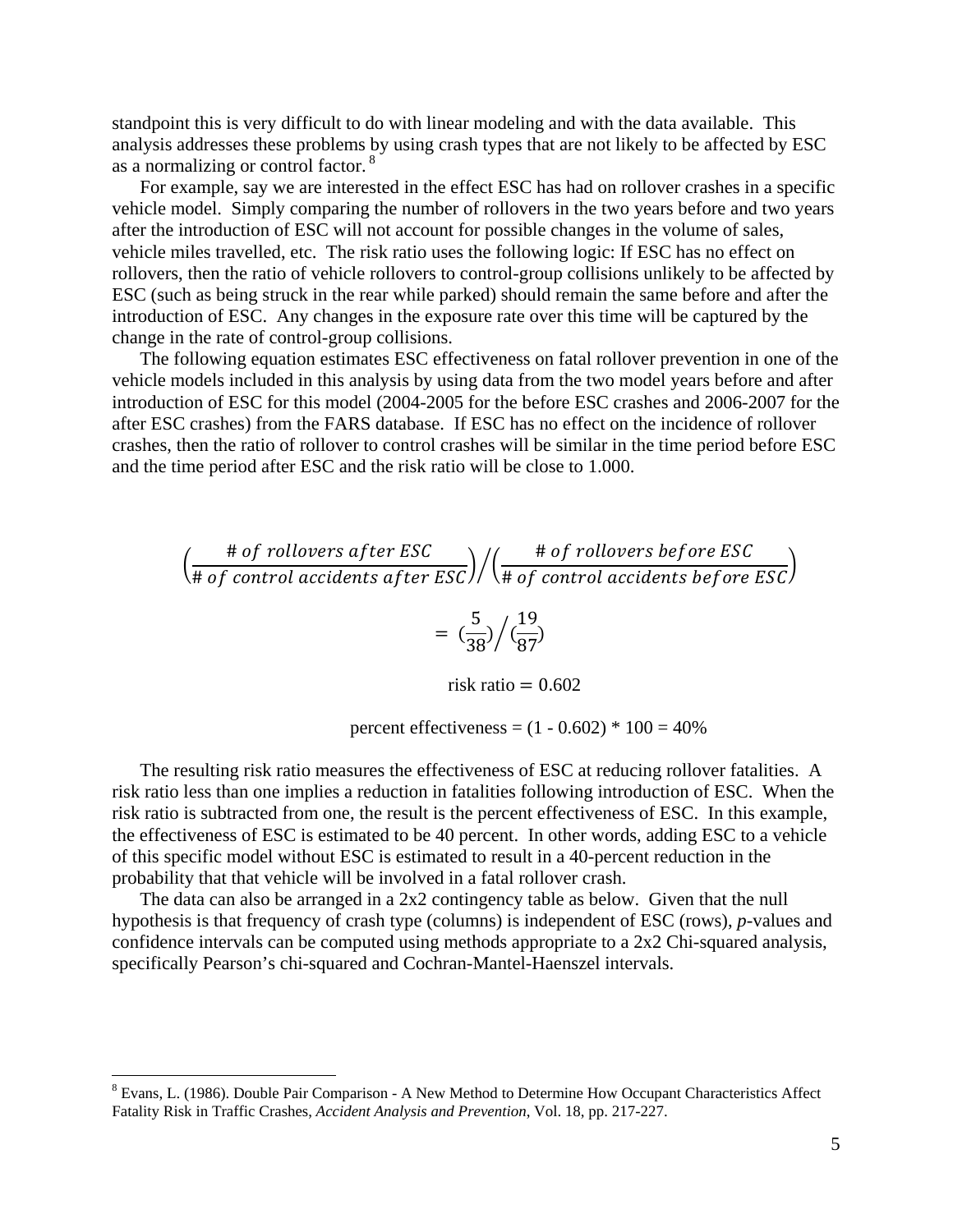standpoint this is very difficult to do with linear modeling and with the data available. This analysis addresses these problems by using crash types that are not likely to be affected by ESC as a normalizing or control factor. 8

For example, say we are interested in the effect ESC has had on rollover crashes in a specific vehicle model. Simply comparing the number of rollovers in the two years before and two years after the introduction of ESC will not account for possible changes in the volume of sales, vehicle miles travelled, etc. The risk ratio uses the following logic: If ESC has no effect on rollovers, then the ratio of vehicle rollovers to control-group collisions unlikely to be affected by ESC (such as being struck in the rear while parked) should remain the same before and after the introduction of ESC. Any changes in the exposure rate over this time will be captured by the change in the rate of control-group collisions.

The following equation estimates ESC effectiveness on fatal rollover prevention in one of the vehicle models included in this analysis by using data from the two model years before and after introduction of ESC for this model (2004-2005 for the before ESC crashes and 2006-2007 for the after ESC crashes) from the FARS database. If ESC has no effect on the incidence of rollover crashes, then the ratio of rollover to control crashes will be similar in the time period before ESC and the time period after ESC and the risk ratio will be close to 1.000.

$$
\left(\frac{\text{# of rollovers after ESC}}{\text{# of control accidents after ESC}}\right) / \left(\frac{\text{# of rollovers before ESC}}{\text{# of control accidents before ESC}}\right)
$$

$$
= \left(\frac{5}{38}\right) / \left(\frac{19}{87}\right)
$$

risk ratio  $= 0.602$ 

percent effectiveness =  $(1 - 0.602) * 100 = 40\%$ 

The resulting risk ratio measures the effectiveness of ESC at reducing rollover fatalities. A risk ratio less than one implies a reduction in fatalities following introduction of ESC. When the risk ratio is subtracted from one, the result is the percent effectiveness of ESC. In this example, the effectiveness of ESC is estimated to be 40 percent. In other words, adding ESC to a vehicle of this specific model without ESC is estimated to result in a 40-percent reduction in the probability that that vehicle will be involved in a fatal rollover crash.

 The data can also be arranged in a 2x2 contingency table as below. Given that the null hypothesis is that frequency of crash type (columns) is independent of ESC (rows), *p*-values and confidence intervals can be computed using methods appropriate to a 2x2 Chi-squared analysis, specifically Pearson's chi-squared and Cochran-Mantel-Haenszel intervals.

<sup>&</sup>lt;sup>8</sup> Evans, L. (1986). Double Pair Comparison - A New Method to Determine How Occupant Characteristics Affect Fatality Risk in Traffic Crashes, *Accident Analysis and Prevention*, Vol. 18, pp. 217-227.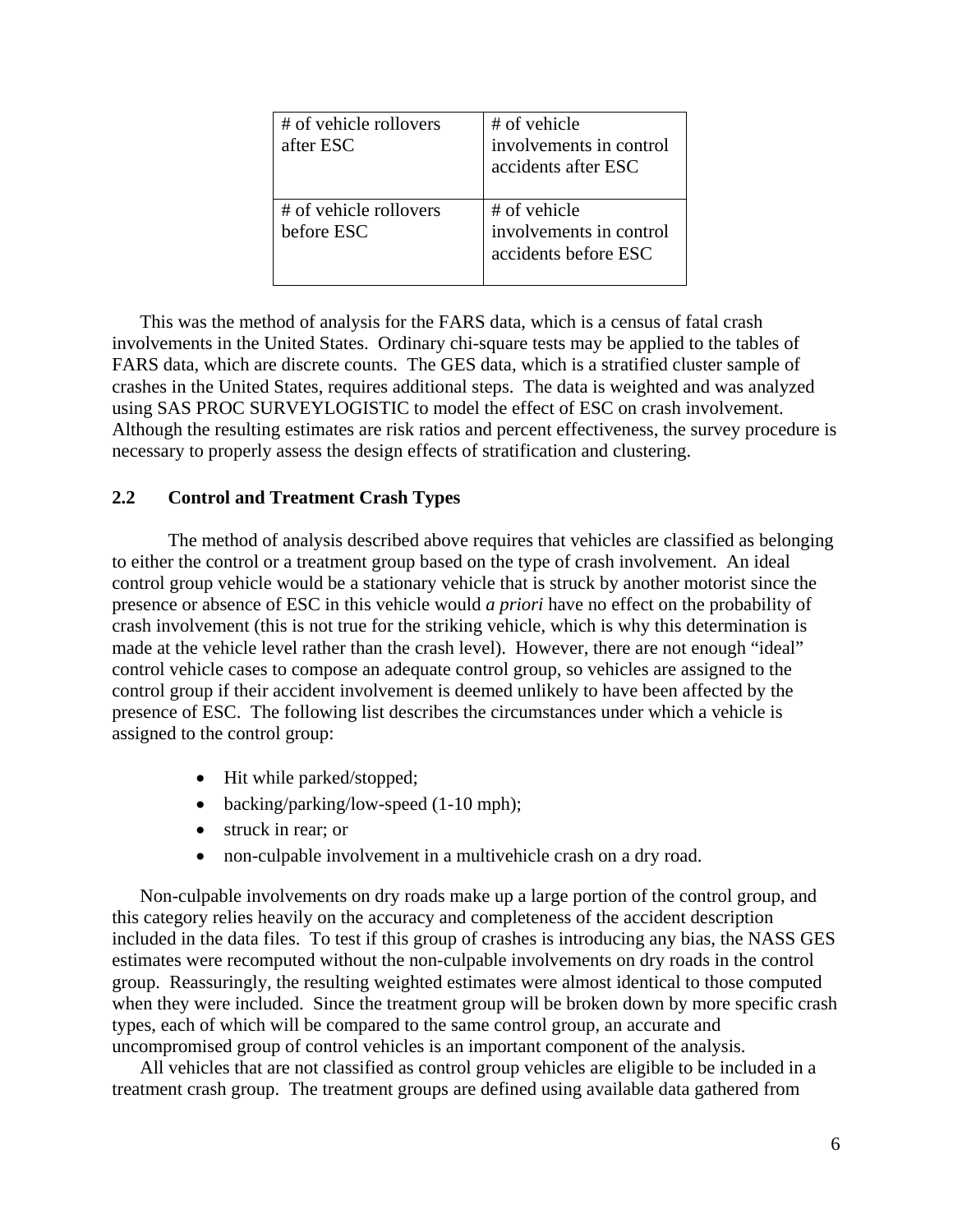| # of vehicle rollovers<br>after ESC  | # of vehicle<br>involvements in control<br>accidents after ESC  |
|--------------------------------------|-----------------------------------------------------------------|
| # of vehicle rollovers<br>before ESC | # of vehicle<br>involvements in control<br>accidents before ESC |

This was the method of analysis for the FARS data, which is a census of fatal crash involvements in the United States. Ordinary chi-square tests may be applied to the tables of FARS data, which are discrete counts. The GES data, which is a stratified cluster sample of crashes in the United States, requires additional steps. The data is weighted and was analyzed using SAS PROC SURVEYLOGISTIC to model the effect of ESC on crash involvement. Although the resulting estimates are risk ratios and percent effectiveness, the survey procedure is necessary to properly assess the design effects of stratification and clustering.

# **2.2 Control and Treatment Crash Types**

The method of analysis described above requires that vehicles are classified as belonging to either the control or a treatment group based on the type of crash involvement. An ideal control group vehicle would be a stationary vehicle that is struck by another motorist since the presence or absence of ESC in this vehicle would *a priori* have no effect on the probability of crash involvement (this is not true for the striking vehicle, which is why this determination is made at the vehicle level rather than the crash level). However, there are not enough "ideal" control vehicle cases to compose an adequate control group, so vehicles are assigned to the control group if their accident involvement is deemed unlikely to have been affected by the presence of ESC. The following list describes the circumstances under which a vehicle is assigned to the control group:

- Hit while parked/stopped;
- backing/parking/low-speed (1-10 mph);
- struck in rear; or
- non-culpable involvement in a multivehicle crash on a dry road.

Non-culpable involvements on dry roads make up a large portion of the control group, and this category relies heavily on the accuracy and completeness of the accident description included in the data files. To test if this group of crashes is introducing any bias, the NASS GES estimates were recomputed without the non-culpable involvements on dry roads in the control group. Reassuringly, the resulting weighted estimates were almost identical to those computed when they were included. Since the treatment group will be broken down by more specific crash types, each of which will be compared to the same control group, an accurate and uncompromised group of control vehicles is an important component of the analysis.

All vehicles that are not classified as control group vehicles are eligible to be included in a treatment crash group. The treatment groups are defined using available data gathered from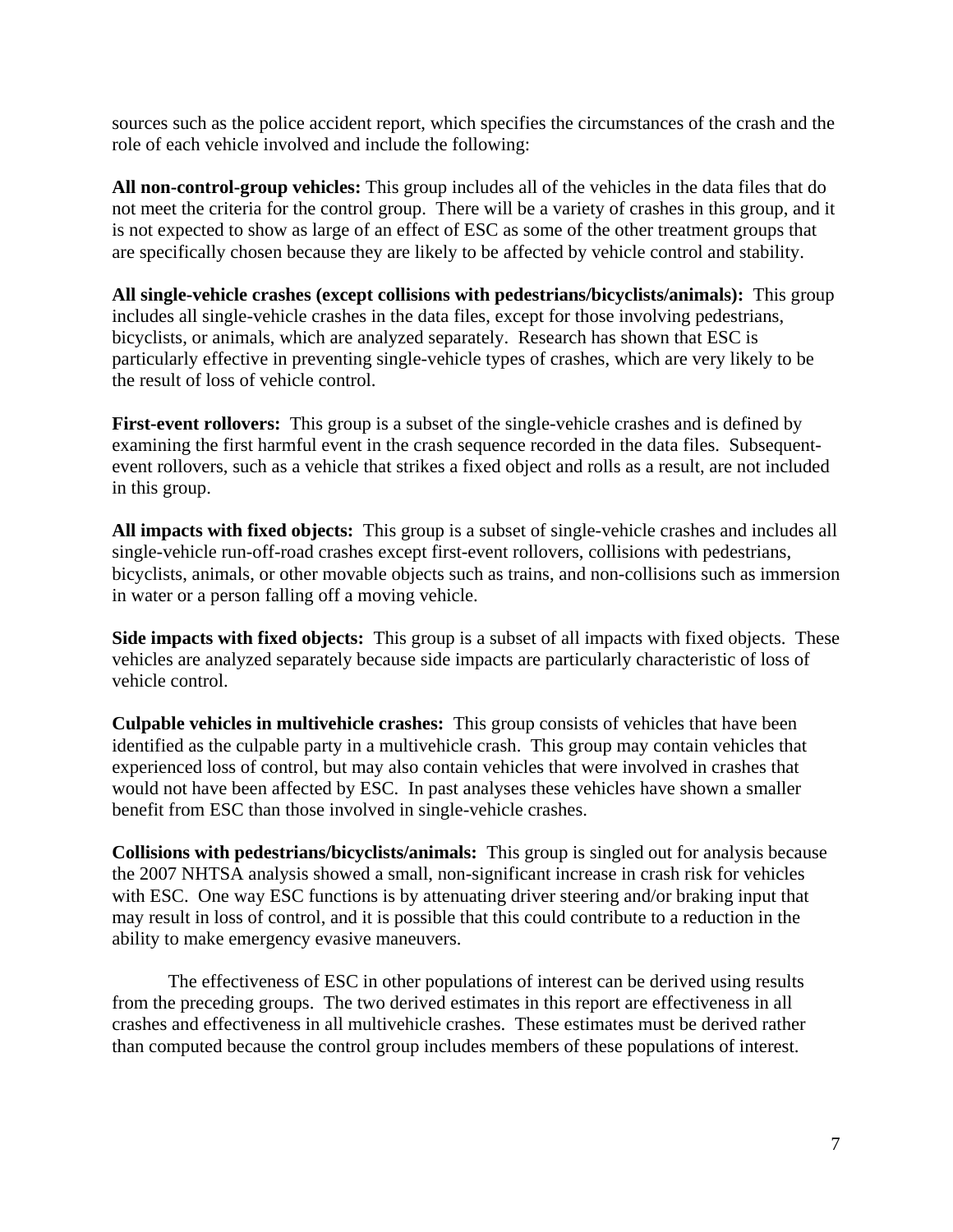sources such as the police accident report, which specifies the circumstances of the crash and the role of each vehicle involved and include the following:

**All non-control-group vehicles:** This group includes all of the vehicles in the data files that do not meet the criteria for the control group. There will be a variety of crashes in this group, and it is not expected to show as large of an effect of ESC as some of the other treatment groups that are specifically chosen because they are likely to be affected by vehicle control and stability.

**All single-vehicle crashes (except collisions with pedestrians/bicyclists/animals):** This group includes all single-vehicle crashes in the data files, except for those involving pedestrians, bicyclists, or animals, which are analyzed separately. Research has shown that ESC is particularly effective in preventing single-vehicle types of crashes, which are very likely to be the result of loss of vehicle control.

**First-event rollovers:** This group is a subset of the single-vehicle crashes and is defined by examining the first harmful event in the crash sequence recorded in the data files. Subsequentevent rollovers, such as a vehicle that strikes a fixed object and rolls as a result, are not included in this group.

**All impacts with fixed objects:** This group is a subset of single-vehicle crashes and includes all single-vehicle run-off-road crashes except first-event rollovers, collisions with pedestrians, bicyclists, animals, or other movable objects such as trains, and non-collisions such as immersion in water or a person falling off a moving vehicle.

**Side impacts with fixed objects:** This group is a subset of all impacts with fixed objects. These vehicles are analyzed separately because side impacts are particularly characteristic of loss of vehicle control.

**Culpable vehicles in multivehicle crashes:** This group consists of vehicles that have been identified as the culpable party in a multivehicle crash. This group may contain vehicles that experienced loss of control, but may also contain vehicles that were involved in crashes that would not have been affected by ESC. In past analyses these vehicles have shown a smaller benefit from ESC than those involved in single-vehicle crashes.

**Collisions with pedestrians/bicyclists/animals:** This group is singled out for analysis because the 2007 NHTSA analysis showed a small, non-significant increase in crash risk for vehicles with ESC. One way ESC functions is by attenuating driver steering and/or braking input that may result in loss of control, and it is possible that this could contribute to a reduction in the ability to make emergency evasive maneuvers.

The effectiveness of ESC in other populations of interest can be derived using results from the preceding groups. The two derived estimates in this report are effectiveness in all crashes and effectiveness in all multivehicle crashes. These estimates must be derived rather than computed because the control group includes members of these populations of interest.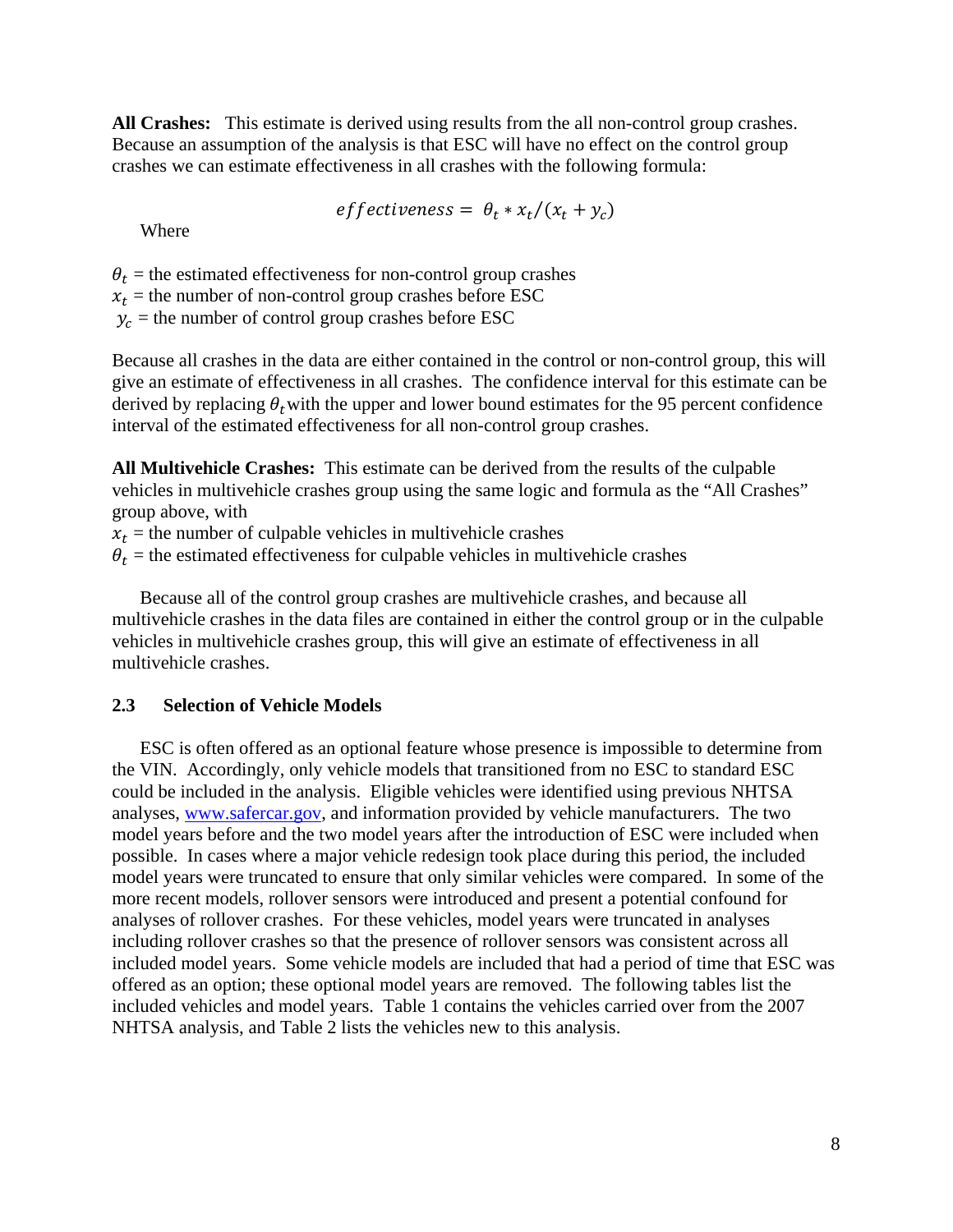**All Crashes:** This estimate is derived using results from the all non-control group crashes. Because an assumption of the analysis is that ESC will have no effect on the control group crashes we can estimate effectiveness in all crashes with the following formula:

*effectiveness* = 
$$
\theta_t * x_t/(x_t + y_c)
$$

Where

 $\theta_t$  = the estimated effectiveness for non-control group crashes

 $x_t$  = the number of non-control group crashes before ESC

 $y_c$  = the number of control group crashes before ESC

Because all crashes in the data are either contained in the control or non-control group, this will give an estimate of effe ctiveness in all crashes. The confidence interval for this estimate can be derived by replacing  $\theta_t$  with the upper and lower bound estimates for the 95 percent confidence interval of the estimated effectiveness for all non-control group crashes.

**All Multivehicle Crashes:** This estimate can be derived from the results of the culpable vehicles in multivehicle crashes group using the same logic and formula as the "All Crashes" group above, with

 $x_t$  = the number of culpable vehicles in multivehicle crashes

 $\theta_t$  = the estimated effectiveness for culpable vehicles in multivehicle crashes

Because all of the control group crashes are multivehicle crashes, and because all multivehicle crashes in the data files are contained in either the control group or in the culpable vehicles in multivehicle crashes group, this will give an estimate of effectiveness in all multivehicle crashes.

#### **2.3 Selection of Vehicle Models**

ESC is often offered as an optional feature whose presence is impossible to determine from the VIN. Accordingly, only vehicle models that transitioned from no ESC to standard ESC could be included in the analysis. Eligible vehicles were identified using previous NHTSA analyses, www.safercar.gov, and information provided by vehicle manufacturers. The two model years before and the two model years after the introduction of ESC were included when possible. In cases where a major vehicle redesign took place during this period, the included model years were truncated to ensure that only similar vehicles were compared. In some of the more recent models, rollover sensors were introduced and present a potential confound for analyses of rollover crashes. For these vehicles, model years were truncated in analyses including rollover crashes so that the presence of rollover sensors was consistent across all included model years. Some vehicle models are included that had a period of time that ESC was offered as an option; these optional model years are removed. The following tables list the included vehicles and model years. Table 1 contains the vehicles carried over from the 2007 NHTSA analysis, and Table 2 lists the vehicles new to this analysis.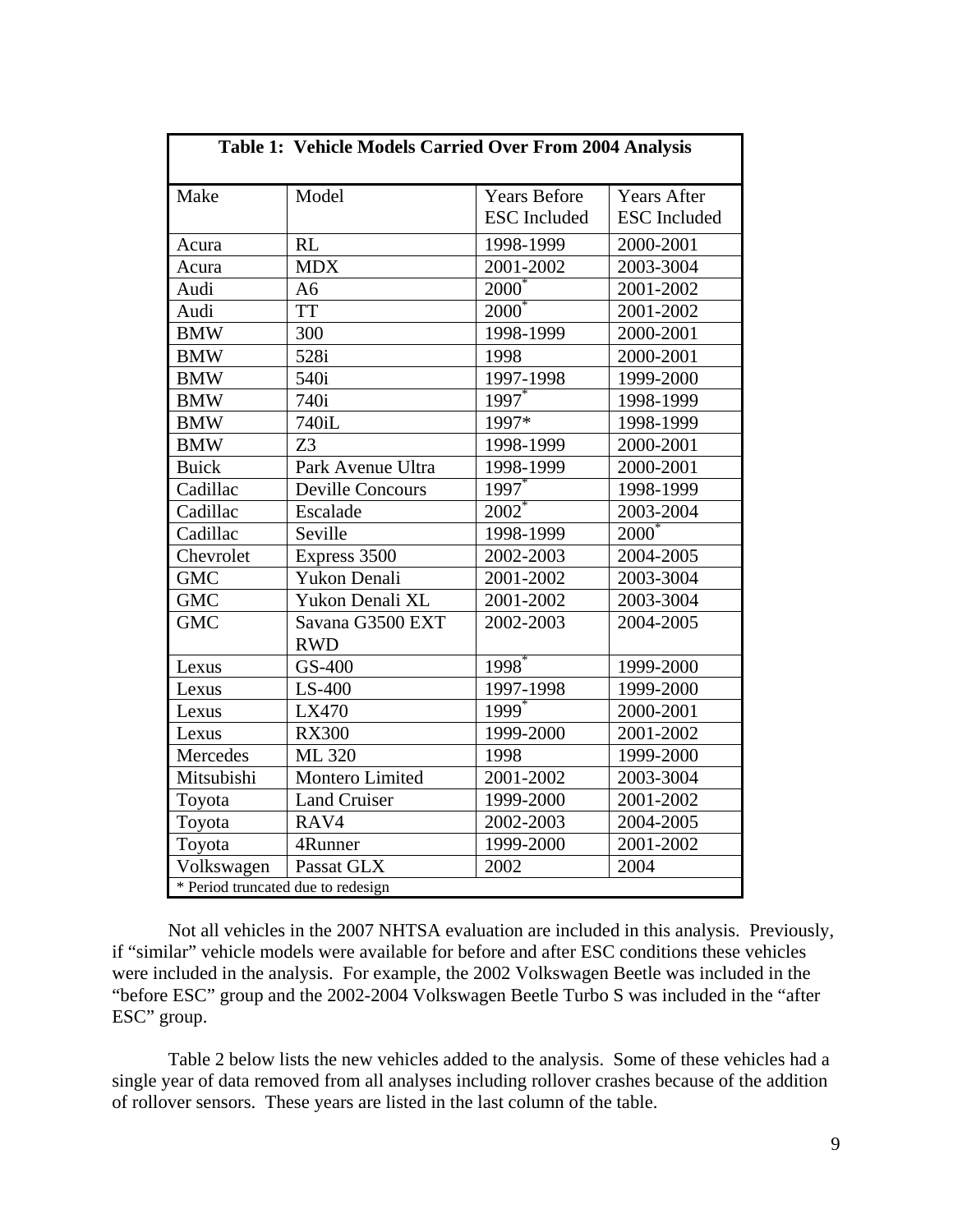| Table 1: Vehicle Models Carried Over From 2004 Analysis |                                |                     |                     |  |  |
|---------------------------------------------------------|--------------------------------|---------------------|---------------------|--|--|
| Make                                                    | Model                          | <b>Years Before</b> | <b>Years After</b>  |  |  |
|                                                         |                                | <b>ESC</b> Included | <b>ESC</b> Included |  |  |
| Acura                                                   | <b>RL</b>                      | 1998-1999           | 2000-2001           |  |  |
| Acura                                                   | <b>MDX</b>                     | 2001-2002           | 2003-3004           |  |  |
| Audi                                                    | A <sub>6</sub>                 | $2000*$             | 2001-2002           |  |  |
| Audi                                                    | <b>TT</b>                      | $2000^*$            | 2001-2002           |  |  |
| <b>BMW</b>                                              | 300                            | 1998-1999           | 2000-2001           |  |  |
| <b>BMW</b>                                              | 528i                           | 1998                | 2000-2001           |  |  |
| <b>BMW</b>                                              | 540i                           | $1997 - 1998$       | 1999-2000           |  |  |
| <b>BMW</b>                                              | 740i                           | $1997*$             | 1998-1999           |  |  |
| <b>BMW</b>                                              | 740iL                          | 1997*               | 1998-1999           |  |  |
| <b>BMW</b>                                              | Z <sub>3</sub>                 | 1998-1999           | 2000-2001           |  |  |
| <b>Buick</b>                                            | Park Avenue Ultra              | 1998-1999           | 2000-2001           |  |  |
| Cadillac                                                | <b>Deville Concours</b>        | 1997                | 1998-1999           |  |  |
| Cadillac                                                | Escalade                       | $2002^*$            | 2003-2004           |  |  |
| Cadillac                                                | Seville                        | 1998-1999           | $2000^*$            |  |  |
| Chevrolet                                               | Express 3500                   | 2002-2003           | 2004-2005           |  |  |
| <b>GMC</b>                                              | Yukon Denali                   | 2001-2002           | 2003-3004           |  |  |
| <b>GMC</b>                                              | Yukon Denali XL                | 2001-2002           | 2003-3004           |  |  |
| <b>GMC</b>                                              | Savana G3500 EXT<br><b>RWD</b> | 2002-2003           | 2004-2005           |  |  |
| Lexus                                                   | GS-400                         | 1998 <sup>*</sup>   | 1999-2000           |  |  |
| Lexus                                                   | $LS-400$                       | 1997-1998           | 1999-2000           |  |  |
| Lexus                                                   | LX470                          | $1999$ <sup>*</sup> | 2000-2001           |  |  |
| Lexus                                                   | <b>RX300</b>                   | 1999-2000           | 2001-2002           |  |  |
| Mercedes                                                | ML 320                         | 1998                | 1999-2000           |  |  |
| Mitsubishi                                              | Montero Limited                | 2001-2002           | 2003-3004           |  |  |
| Toyota                                                  | <b>Land Cruiser</b>            | 1999-2000           | 2001-2002           |  |  |
| Toyota                                                  | RAV4                           | 2002-2003           | 2004-2005           |  |  |
| Toyota                                                  | 4Runner                        | 1999-2000           | 2001-2002           |  |  |
| Volkswagen                                              | Passat GLX                     | 2002                | 2004                |  |  |
| * Period truncated due to redesign                      |                                |                     |                     |  |  |

Not all vehicles in the 2007 NHTSA evaluation are included in this analysis. Previously, if "similar" vehicle models were available for before and after ESC conditions these vehicles were included in the analysis. For example, the 2002 Volkswagen Beetle was included in the "before ESC" group and the 2002-2004 Volkswagen Beetle Turbo S was included in the "after ESC" group.

Table 2 below lists the new vehicles added to the analysis. Some of these vehicles had a single year of data removed from all analyses including rollover crashes because of the addition of rollover sensors. These years are listed in the last column of the table.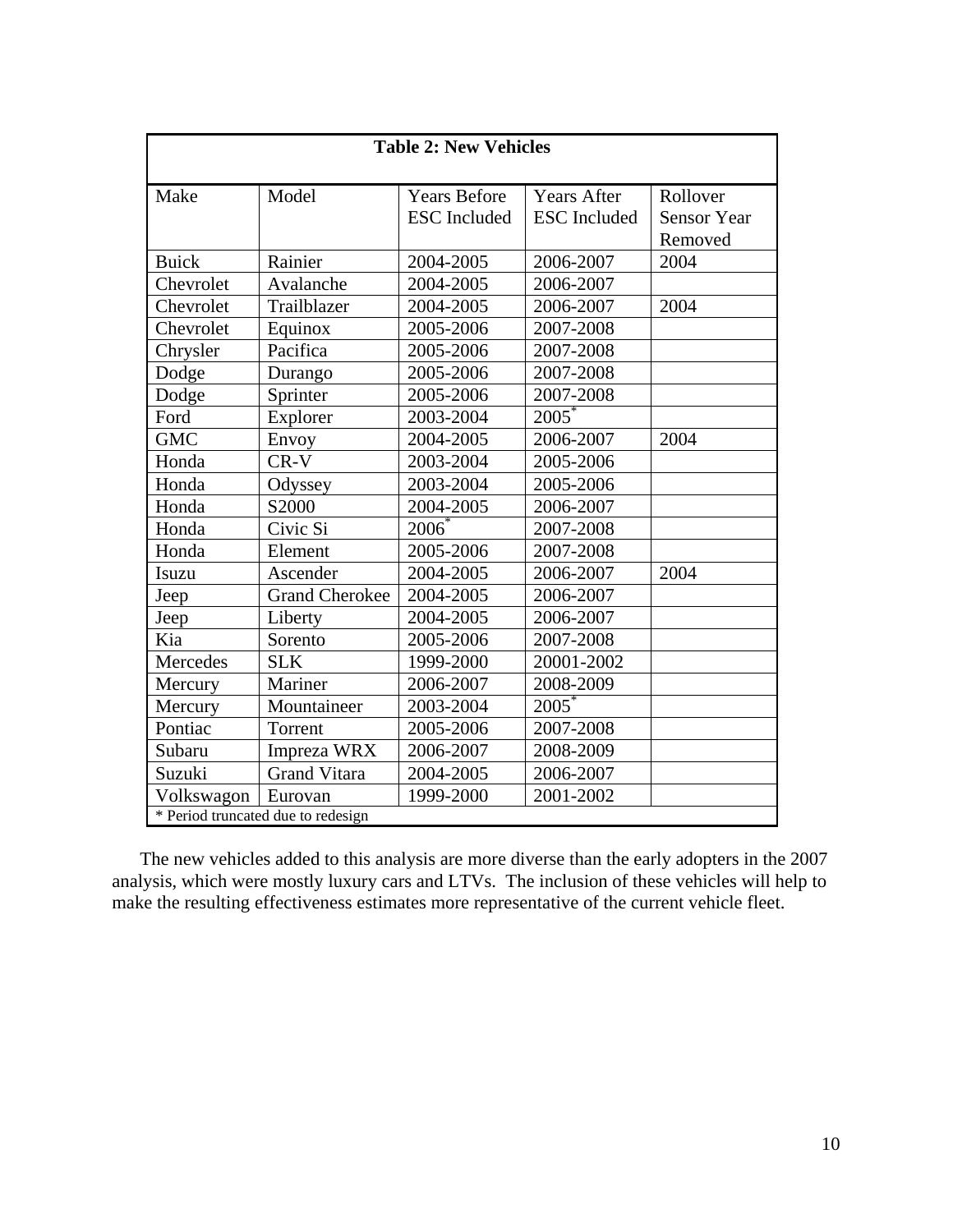| <b>Table 2: New Vehicles</b> |                                    |                                            |                                           |                                           |  |  |
|------------------------------|------------------------------------|--------------------------------------------|-------------------------------------------|-------------------------------------------|--|--|
| Make                         | Model                              | <b>Years Before</b><br><b>ESC</b> Included | <b>Years After</b><br><b>ESC</b> Included | Rollover<br><b>Sensor Year</b><br>Removed |  |  |
| <b>Buick</b>                 | Rainier                            | 2004-2005                                  | 2006-2007                                 | 2004                                      |  |  |
| Chevrolet                    | Avalanche                          | 2004-2005                                  | 2006-2007                                 |                                           |  |  |
| Chevrolet                    | Trailblazer                        | 2004-2005                                  | 2006-2007                                 | 2004                                      |  |  |
| Chevrolet                    | Equinox                            | 2005-2006                                  | 2007-2008                                 |                                           |  |  |
| Chrysler                     | Pacifica                           | 2005-2006                                  | 2007-2008                                 |                                           |  |  |
| Dodge                        | Durango                            | 2005-2006                                  | 2007-2008                                 |                                           |  |  |
| Dodge                        | Sprinter                           | 2005-2006                                  | 2007-2008                                 |                                           |  |  |
| Ford                         | Explorer                           | 2003-2004                                  | $2005*$                                   |                                           |  |  |
| <b>GMC</b>                   | Envoy                              | 2004-2005                                  | 2006-2007                                 | 2004                                      |  |  |
| Honda                        | $CR-V$                             | 2003-2004                                  | 2005-2006                                 |                                           |  |  |
| Honda                        | Odyssey                            | 2003-2004                                  | 2005-2006                                 |                                           |  |  |
| Honda                        | S2000                              | 2004-2005                                  | 2006-2007                                 |                                           |  |  |
| Honda                        | Civic Si                           | $2006^*$                                   | 2007-2008                                 |                                           |  |  |
| Honda                        | Element                            | 2005-2006                                  | 2007-2008                                 |                                           |  |  |
| Isuzu                        | Ascender                           | 2004-2005                                  | 2006-2007                                 | 2004                                      |  |  |
| Jeep                         | <b>Grand Cherokee</b>              | 2004-2005                                  | 2006-2007                                 |                                           |  |  |
| Jeep                         | Liberty                            | 2004-2005                                  | 2006-2007                                 |                                           |  |  |
| Kia                          | Sorento                            | 2005-2006                                  | 2007-2008                                 |                                           |  |  |
| Mercedes                     | <b>SLK</b>                         | 1999-2000                                  | 20001-2002                                |                                           |  |  |
| Mercury                      | Mariner                            | 2006-2007                                  | 2008-2009                                 |                                           |  |  |
| Mercury                      | Mountaineer                        | 2003-2004                                  | $2005^*$                                  |                                           |  |  |
| Pontiac                      | Torrent                            | 2005-2006                                  | 2007-2008                                 |                                           |  |  |
| Subaru                       | Impreza WRX                        | 2006-2007                                  | 2008-2009                                 |                                           |  |  |
| Suzuki                       | <b>Grand Vitara</b>                | 2004-2005                                  | 2006-2007                                 |                                           |  |  |
| Volkswagon                   | Eurovan                            | 1999-2000                                  | 2001-2002                                 |                                           |  |  |
|                              | * Period truncated due to redesign |                                            |                                           |                                           |  |  |

The new vehicles added to this analysis are more diverse than the early adopters in the 2007 analysis, which were mostly luxury cars and LTVs. The inclusion of these vehicles will help to make the resulting effectiveness estimates more representative of the current vehicle fleet.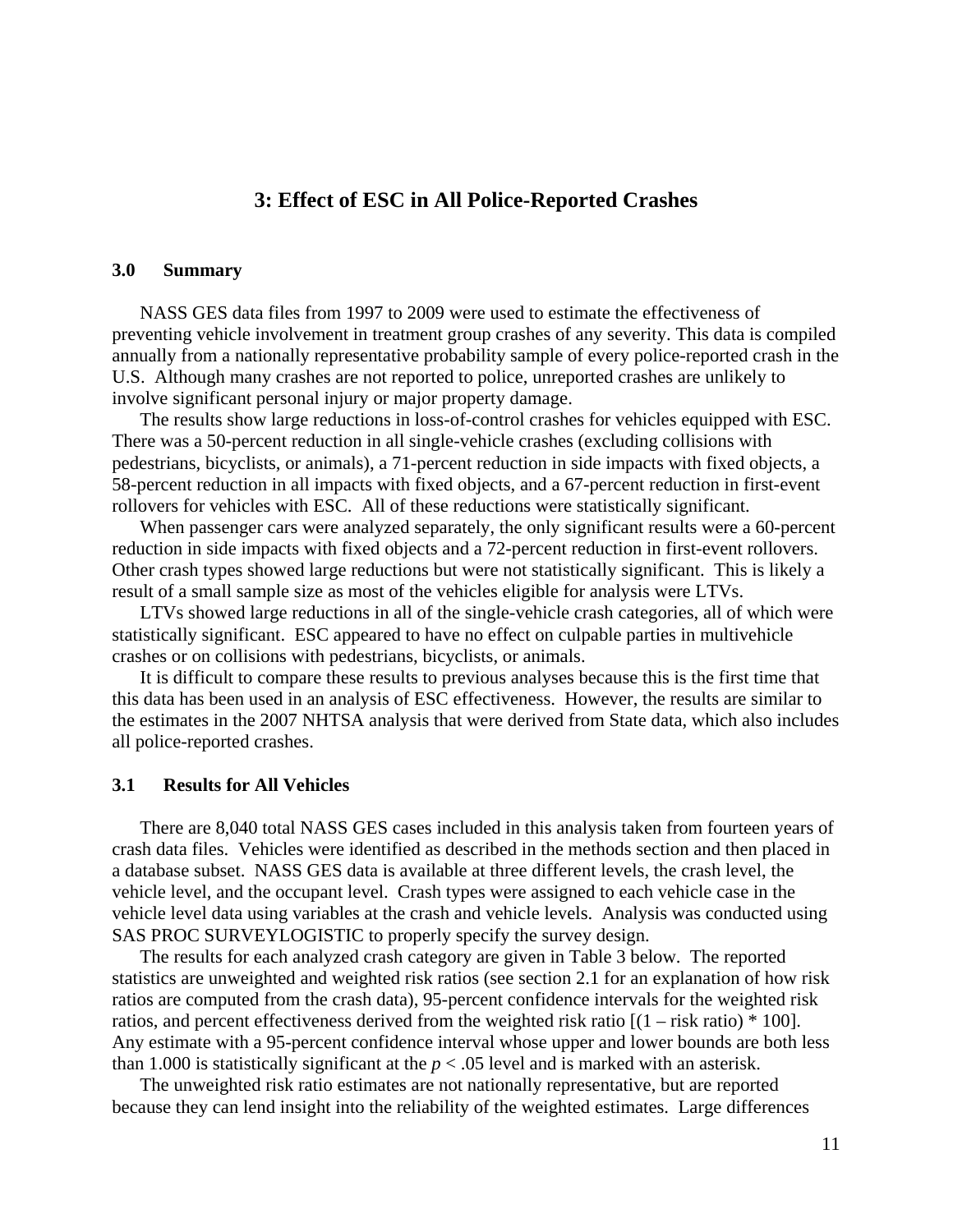# **3: Effect of ESC in All Police-Reported Crashes**

#### **3.0 Summary**

NASS GES data files from 1997 to 2009 were used to estimate the effectiveness of preventing vehicle involvement in treatment group crashes of any severity. This data is compiled annually from a nationally representative probability sample of every police-reported crash in the U.S. Although many crashes are not reported to police, unreported crashes are unlikely to involve significant personal injury or major property damage.

The results show large reductions in loss-of-control crashes for vehicles equipped with ESC. There was a 50-percent reduction in all single-vehicle crashes (excluding collisions with pedestrians, bicyclists, or animals), a 71-percent reduction in side impacts with fixed objects, a 58-percent reduction in all impacts with fixed objects, and a 67-percent reduction in first-event rollovers for vehicles with ESC. All of these reductions were statistically significant.

When passenger cars were analyzed separately, the only significant results were a 60-percent reduction in side impacts with fixed objects and a 72-percent reduction in first-event rollovers. Other crash types showed large reductions but were not statistically significant. This is likely a result of a small sample size as most of the vehicles eligible for analysis were LTVs.

LTVs showed large reductions in all of the single-vehicle crash categories, all of which were statistically significant. ESC appeared to have no effect on culpable parties in multivehicle crashes or on collisions with pedestrians, bicyclists, or animals.

It is difficult to compare these results to previous analyses because this is the first time that this data has been used in an analysis of ESC effectiveness. However, the results are similar to the estimates in the 2007 NHTSA analysis that were derived from State data, which also includes all police-reported crashes.

#### **3.1 Results for All Vehicles**

There are 8,040 total NASS GES cases included in this analysis taken from fourteen years of crash data files. Vehicles were identified as described in the methods section and then placed in a database subset. NASS GES data is available at three different levels, the crash level, the vehicle level, and the occupant level. Crash types were assigned to each vehicle case in the vehicle level data using variables at the crash and vehicle levels. Analysis was conducted using SAS PROC SURVEYLOGISTIC to properly specify the survey design.

The results for each analyzed crash category are given in Table 3 below. The reported statistics are unweighted and weighted risk ratios (see section 2.1 for an explanation of how risk ratios are computed from the crash data), 95-percent confidence intervals for the weighted risk ratios, and percent effectiveness derived from the weighted risk ratio  $[(1 - risk ratio) * 100]$ . Any estimate with a 95-percent confidence interval whose upper and lower bounds are both less than 1.000 is statistically significant at the  $p < .05$  level and is marked with an asterisk.

The unweighted risk ratio estimates are not nationally representative, but are reported because they can lend insight into the reliability of the weighted estimates. Large differences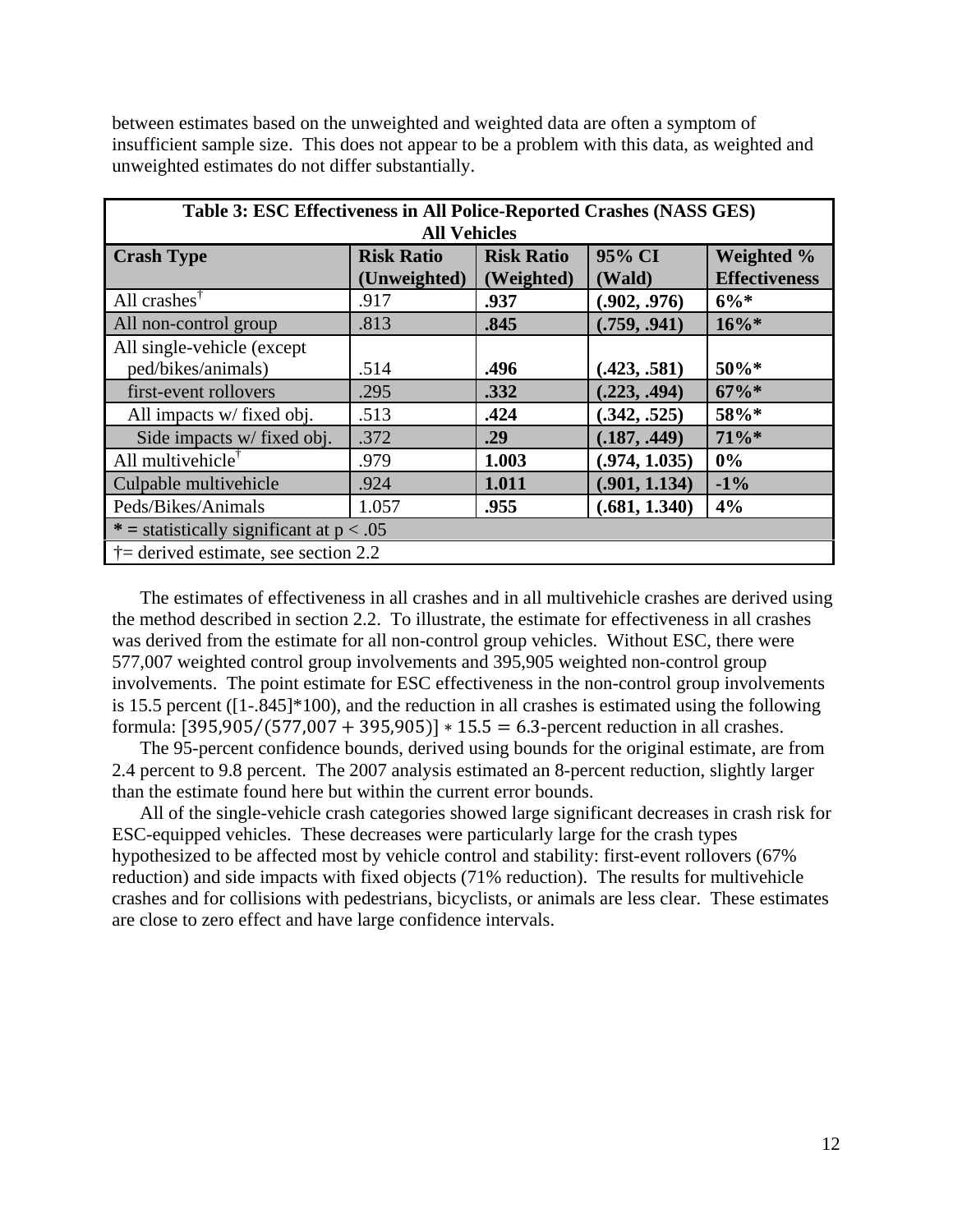between estimates based on the unweighted and weighted data are often a symptom of insufficient sample size. This does not appear to be a problem with this data, as weighted and unweighted estimates do not differ substantially.

| Table 3: ESC Effectiveness in All Police-Reported Crashes (NASS GES) |                     |                   |               |                      |  |
|----------------------------------------------------------------------|---------------------|-------------------|---------------|----------------------|--|
|                                                                      | <b>All Vehicles</b> |                   |               |                      |  |
| <b>Crash Type</b>                                                    | <b>Risk Ratio</b>   | <b>Risk Ratio</b> | 95% CI        | Weighted %           |  |
|                                                                      | (Unweighted)        | (Weighted)        | (Wald)        | <b>Effectiveness</b> |  |
| All crashes $^{\dagger}$                                             | .917                | .937              | (.902, .976)  | $6\%*$               |  |
| All non-control group                                                | .813                | .845              | (.759, .941)  | $16\%*$              |  |
| All single-vehicle (except                                           |                     |                   |               |                      |  |
| ped/bikes/animals)                                                   | .514                | .496              | (.423, .581)  | $50\%*$              |  |
| first-event rollovers                                                | .295                | .332              | (.223, .494)  | $67\%$ *             |  |
| All impacts w/ fixed obj.                                            | .513                | .424              | (.342, .525)  | 58%*                 |  |
| Side impacts w/ fixed obj.                                           | .372                | .29               | (.187, .449)  | 71%*                 |  |
| All multivehicle <sup>†</sup>                                        | .979                | 1.003             | (.974, 1.035) | 0%                   |  |
| Culpable multive hicle                                               | .924                | 1.011             | (.901, 1.134) | $-1\%$               |  |
| Peds/Bikes/Animals                                                   | 1.057               | .955              | (.681, 1.340) | 4%                   |  |
| * = statistically significant at $p < .05$                           |                     |                   |               |                      |  |
| $\dagger$ = derived estimate, see section 2.2                        |                     |                   |               |                      |  |

The estimates of effectiveness in all crashes and in all multivehicle crashes are derived using the method described in section 2.2. To illustrate, the estimate for effectiveness in all crashes was derived from the estimate for all non-control group vehicles. Without ESC, there were 577,007 weighted control group involvements and 395,905 weighted non-control group involvements. The point estimate for ESC effectiveness in the non-control group involvements formula:  $[395,905/(577,007 + 395,905)] * 15.5 = 6.3$ -percent reduction in all crashes. is 15.5 percent ([1-.845]\*100), and the reduction in all crashes is estimated using the following

The 95-percent confidence bounds, derived using bounds for the original estimate, are from 2.4 percent to 9.8 percent. The 2007 analysis estimated an 8-percent reduction, slightly larger than the estimate found here but within the current error bounds.

All of the single-vehicle crash categories showed large significant decreases in crash risk for ESC-equipped vehicles. These decreases were particularly large for the crash types hypothesized to be affected most by vehicle control and stability: first-event rollovers (67% reduction) and side impacts with fixed objects (71% reduction). The results for multivehicle crashes and for collisions with pedestrians, bicyclists, or animals are less clear. These estimates are close to zero effect and have large confidence intervals.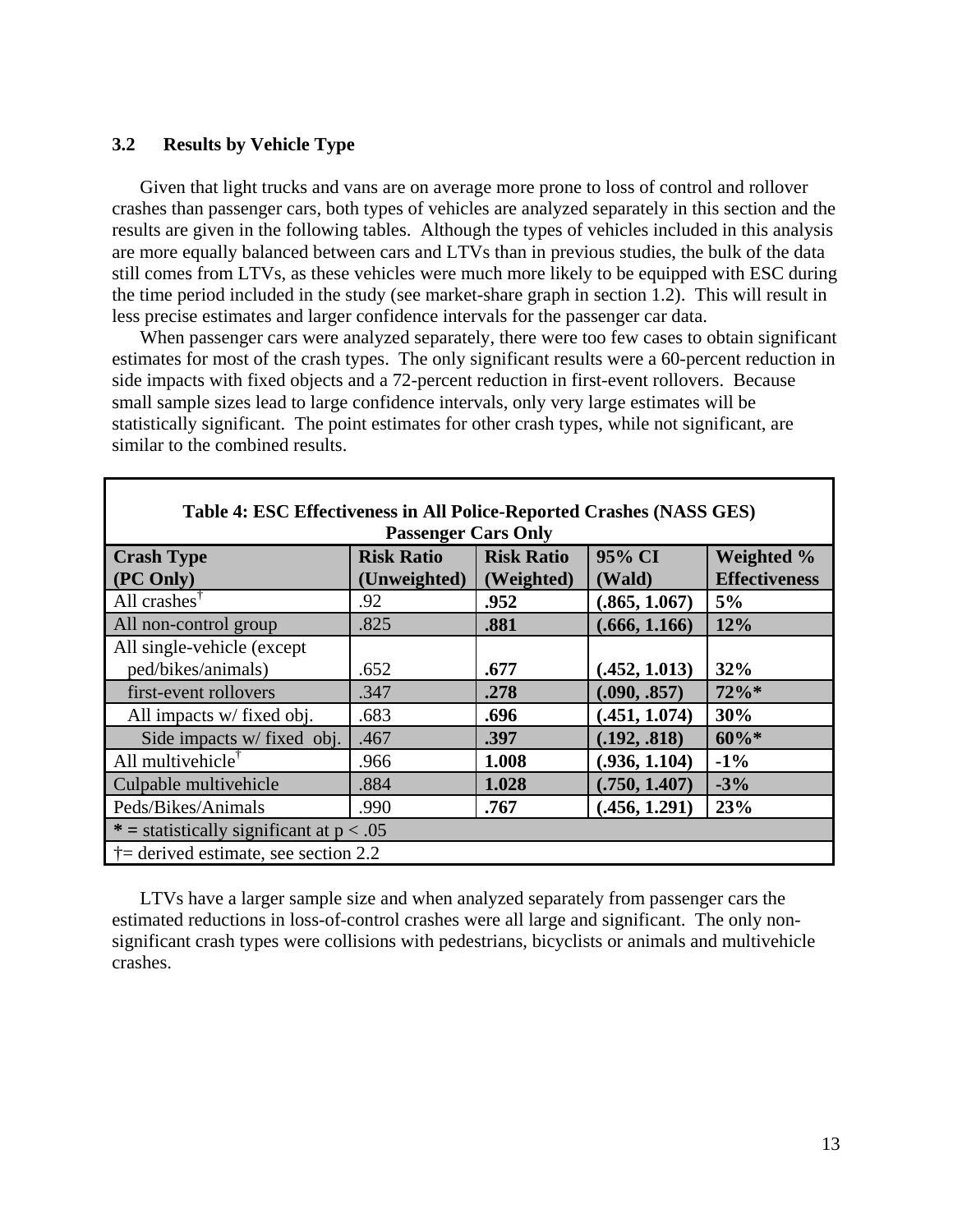#### **3.2 Results by Vehicle Type**

Given that light trucks and vans are on average more prone to loss of control and rollover crashes than passenger cars, both types of vehicles are analyzed separately in this section and the results are given in the following tables. Although the types of vehicles included in this analysis are more equally balanced between cars and LTVs than in previous studies, the bulk of the data still comes from LTVs, as these vehicles were much more likely to be equipped with ESC during the time period included in the study (see market-share graph in section 1.2). This will result in less precise estimates and larger confidence intervals for the passenger car data.

When passenger cars were analyzed separately, there were too few cases to obtain significant estimates for most of the crash types. The only significant results were a 60-percent reduction in side impacts with fixed objects and a 72-percent reduction in first-event rollovers. Because small sample sizes lead to large confidence intervals, only very large estimates will be statistically significant. The point estimates for other crash types, while not significant, are similar to the combined results.

| Table 4. ESC Effectiveness in All I unce-Reputted Crashes (1945) GES) |                   |                   |               |                      |  |  |
|-----------------------------------------------------------------------|-------------------|-------------------|---------------|----------------------|--|--|
| <b>Passenger Cars Only</b>                                            |                   |                   |               |                      |  |  |
| <b>Crash Type</b>                                                     | <b>Risk Ratio</b> | <b>Risk Ratio</b> | 95% CI        | Weighted %           |  |  |
| (PC Only)                                                             | (Unweighted)      | (Weighted)        | (Wald)        | <b>Effectiveness</b> |  |  |
| All crashes $^{\dagger}$                                              | .92               | .952              | (.865, 1.067) | 5%                   |  |  |
| All non-control group                                                 | .825              | .881              | (.666, 1.166) | 12%                  |  |  |
| All single-vehicle (except                                            |                   |                   |               |                      |  |  |
| ped/bikes/animals)                                                    | .652              | .677              | (.452, 1.013) | 32%                  |  |  |
| first-event rollovers                                                 | .347              | .278              | (.090, .857)  | 72%*                 |  |  |
| All impacts w/ fixed obj.                                             | .683              | .696              | (.451, 1.074) | 30%                  |  |  |
| Side impacts w/ fixed obj.                                            | .467              | .397              | (.192, .818)  | $60\%*$              |  |  |
| All multivehicle <sup>†</sup>                                         | .966              | 1.008             | (.936, 1.104) | $-1\%$               |  |  |
| Culpable multive hicle                                                | .884              | 1.028             | (.750, 1.407) | $-3%$                |  |  |
| Peds/Bikes/Animals                                                    | .990              | .767              | (.456, 1.291) | 23%                  |  |  |
| * = statistically significant at $p < .05$                            |                   |                   |               |                      |  |  |
| $\dagger$ = derived estimate, see section 2.2                         |                   |                   |               |                      |  |  |

**Table 4: ESC Effectiveness in All Police-Reported Crashes (NASS GES)** 

LTVs have a larger sample size and when analyzed separately from passenger cars the estimated reductions in loss-of-control crashes were all large and significant. The only nonsignificant crash types were collisions with pedestrians, bicyclists or animals and multivehicle crashes.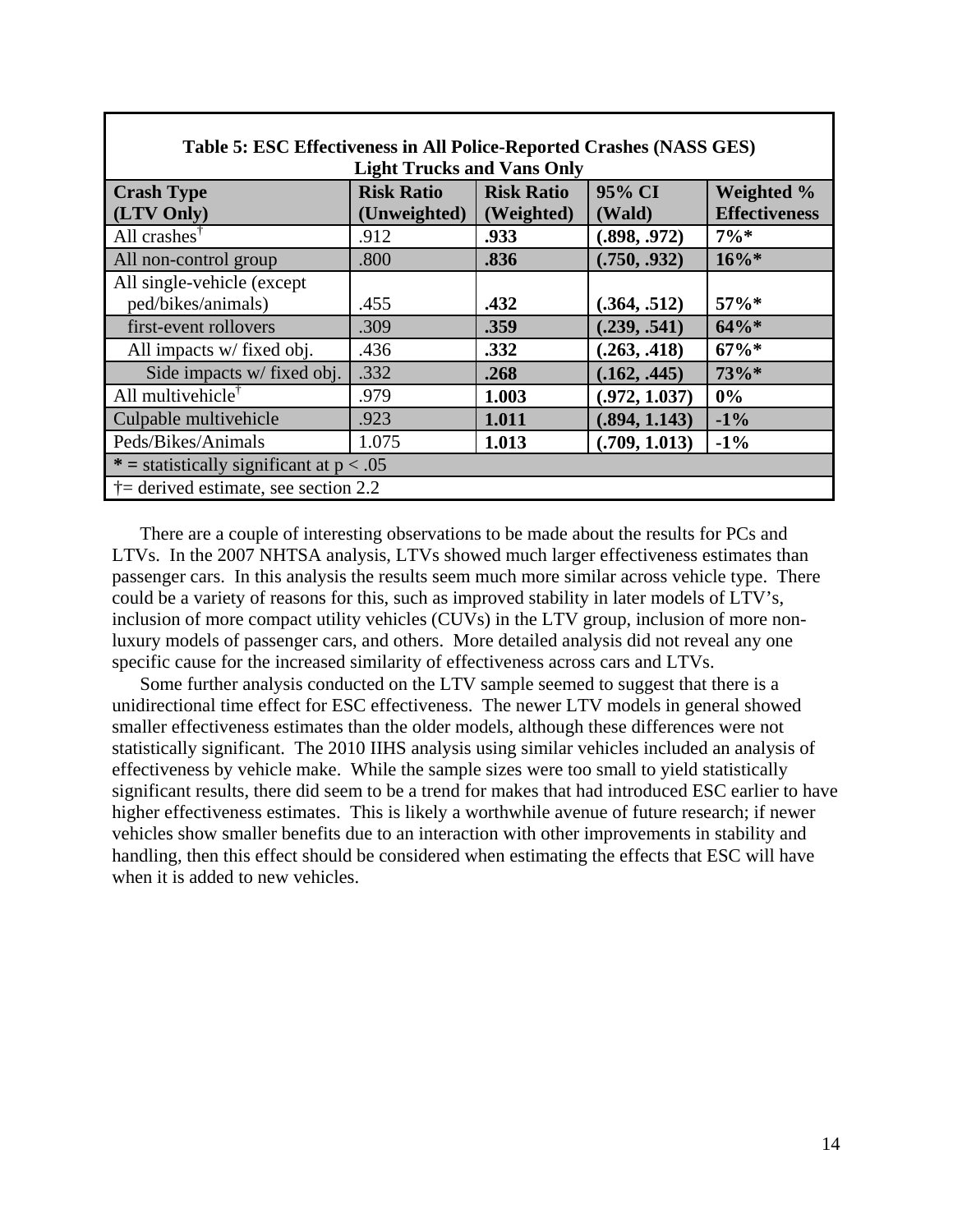| Table 5: ESC Effectiveness in All Police-Reported Crashes (NASS GES) |                   |                   |               |                      |  |  |  |
|----------------------------------------------------------------------|-------------------|-------------------|---------------|----------------------|--|--|--|
| <b>Light Trucks and Vans Only</b>                                    |                   |                   |               |                      |  |  |  |
| <b>Crash Type</b>                                                    | <b>Risk Ratio</b> | <b>Risk Ratio</b> | 95% CI        | Weighted %           |  |  |  |
| (LTV Only)                                                           | (Unweighted)      | (Weighted)        | (Wald)        | <b>Effectiveness</b> |  |  |  |
| All crashes $^{\dagger}$                                             | .912              | .933              | (.898, .972)  | $7\%*$               |  |  |  |
| All non-control group                                                | .800              | .836              | (.750, .932)  | $16\%*$              |  |  |  |
| All single-vehicle (except                                           |                   |                   |               |                      |  |  |  |
| ped/bikes/animals)                                                   | .455              | .432              | (.364, .512)  | 57%*                 |  |  |  |
| first-event rollovers                                                | .309              | .359              | (.239, .541)  | $64\%*$              |  |  |  |
| All impacts w/ fixed obj.                                            | .436              | .332              | (.263, .418)  | $67\%*$              |  |  |  |
| Side impacts w/fixed obj.                                            | .332              | .268              | (.162, .445)  | 73%*                 |  |  |  |
| All multive hicle <sup><math>\dagger</math></sup>                    | .979              | 1.003             | (.972, 1.037) | 0%                   |  |  |  |
| Culpable multivehicle                                                | .923              | 1.011             | (.894, 1.143) | $-1\%$               |  |  |  |
| Peds/Bikes/Animals                                                   | 1.075             | 1.013             | (.709, 1.013) | $-1\%$               |  |  |  |
| * = statistically significant at $p < .05$                           |                   |                   |               |                      |  |  |  |
| $\dagger$ = derived estimate, see section 2.2                        |                   |                   |               |                      |  |  |  |

Г

There are a couple of interesting observations to be made about the results for PCs and LTVs. In the 2007 NHTSA analysis, LTVs showed much larger effectiveness estimates than passenger cars. In this analysis the results seem much more similar across vehicle type. There could be a variety of reasons for this, such as improved stability in later models of LTV's, inclusion of more compact utility vehicles (CUVs) in the LTV group, inclusion of more nonluxury models of passenger cars, and others. More detailed analysis did not reveal any one specific cause for the increased similarity of effectiveness across cars and LTVs.

Some further analysis conducted on the LTV sample seemed to suggest that there is a unidirectional time effect for ESC effectiveness. The newer LTV models in general showed smaller effectiveness estimates than the older models, although these differences were not statistically significant. The 2010 IIHS analysis using similar vehicles included an analysis of effectiveness by vehicle make. While the sample sizes were too small to yield statistically significant results, there did seem to be a trend for makes that had introduced ESC earlier to have higher effectiveness estimates. This is likely a worthwhile avenue of future research; if newer vehicles show smaller benefits due to an interaction with other improvements in stability and handling, then this effect should be considered when estimating the effects that ESC will have when it is added to new vehicles.

٦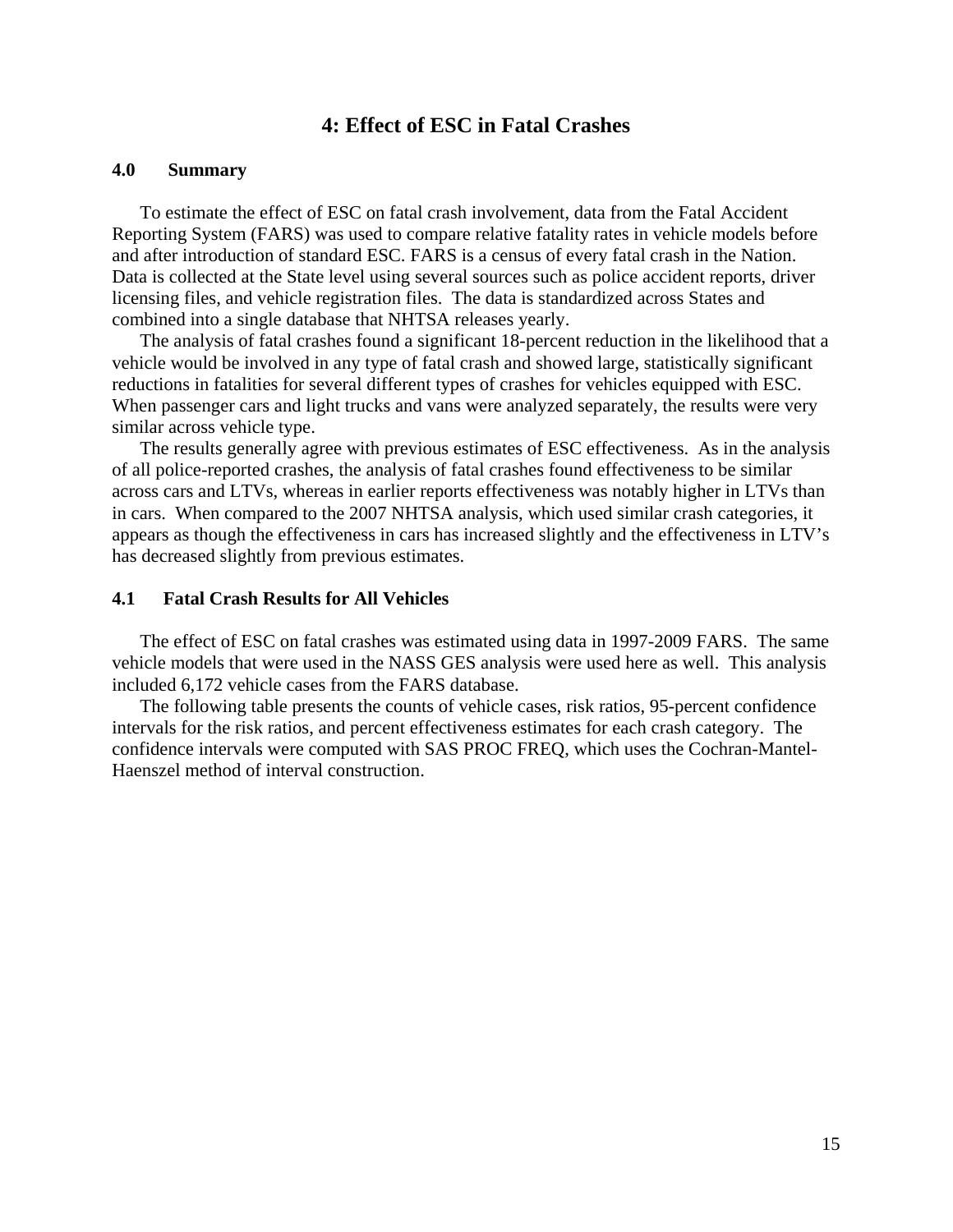# **4: Effect of ESC in Fatal Crashes**

#### **4.0 Summary**

To estimate the effect of ESC on fatal crash involvement, data from the Fatal Accident Reporting System (FARS) was used to compare relative fatality rates in vehicle models before and after introduction of standard ESC. FARS is a census of every fatal crash in the Nation. Data is collected at the State level using several sources such as police accident reports, driver licensing files, and vehicle registration files. The data is standardized across States and combined into a single database that NHTSA releases yearly.

The analysis of fatal crashes found a significant 18-percent reduction in the likelihood that a vehicle would be involved in any type of fatal crash and showed large, statistically significant reductions in fatalities for several different types of crashes for vehicles equipped with ESC. When passenger cars and light trucks and vans were analyzed separately, the results were very similar across vehicle type.

The results generally agree with previous estimates of ESC effectiveness. As in the analysis of all police-reported crashes, the analysis of fatal crashes found effectiveness to be similar across cars and LTVs, whereas in earlier reports effectiveness was notably higher in LTVs than in cars. When compared to the 2007 NHTSA analysis, which used similar crash categories, it appears as though the effectiveness in cars has increased slightly and the effectiveness in LTV's has decreased slightly from previous estimates.

#### **4.1 Fatal Crash Results for All Vehicles**

The effect of ESC on fatal crashes was estimated using data in 1997-2009 FARS. The same vehicle models that were used in the NASS GES analysis were used here as well. This analysis included 6,172 vehicle cases from the FARS database.

The following table presents the counts of vehicle cases, risk ratios, 95-percent confidence intervals for the risk ratios, and percent effectiveness estimates for each crash category. The confidence intervals were computed with SAS PROC FREQ, which uses the Cochran-Mantel-Haenszel method of interval construction.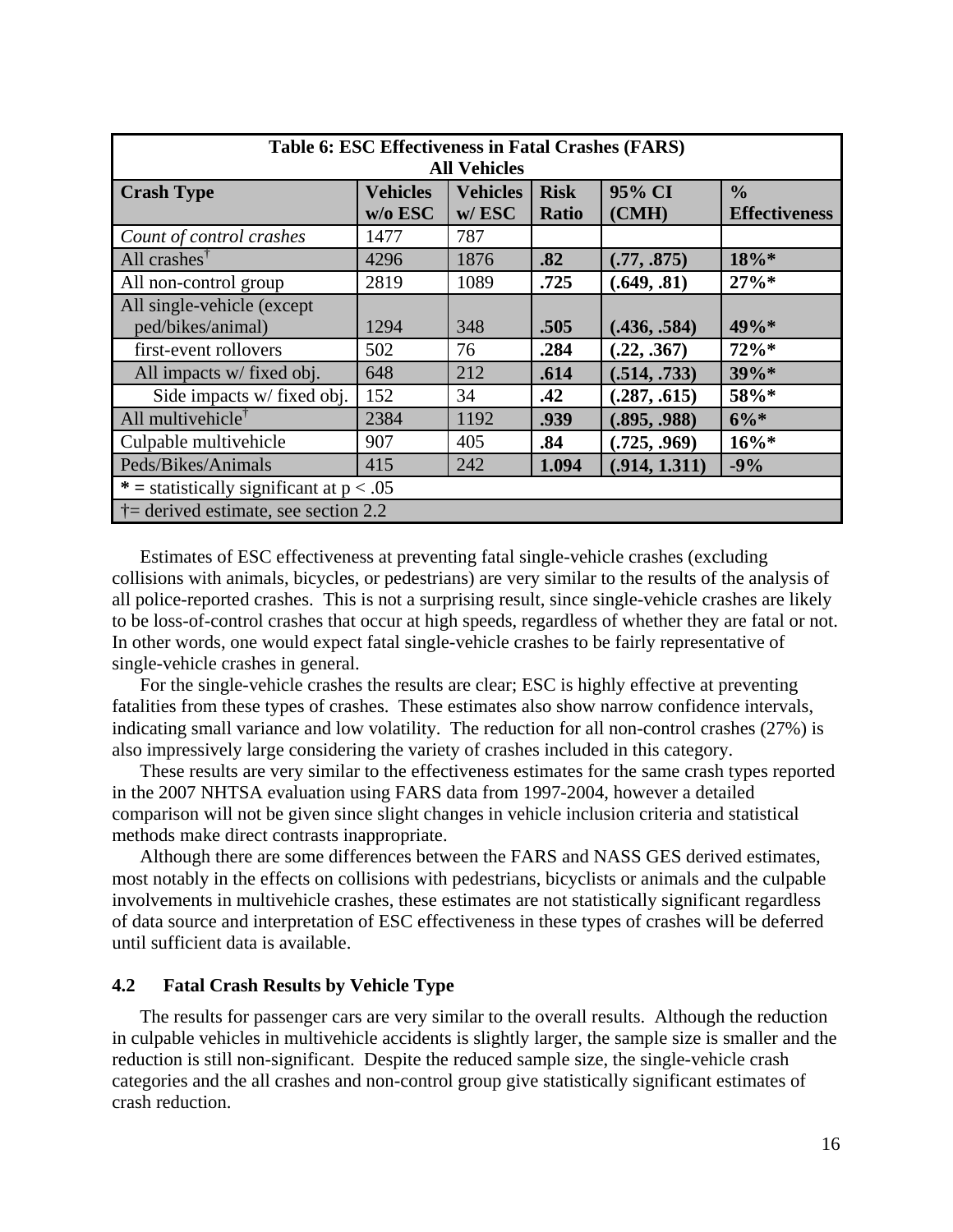| Table 6: ESC Effectiveness in Fatal Crashes (FARS) |                 |                 |              |               |                      |
|----------------------------------------------------|-----------------|-----------------|--------------|---------------|----------------------|
| <b>All Vehicles</b>                                |                 |                 |              |               |                      |
| <b>Crash Type</b>                                  | <b>Vehicles</b> | <b>Vehicles</b> | <b>Risk</b>  | 95% CI        | $\frac{0}{0}$        |
|                                                    | $w/o$ ESC       | w/ESC           | <b>Ratio</b> | (CMH)         | <b>Effectiveness</b> |
| Count of control crashes                           | 1477            | 787             |              |               |                      |
| All crashes $^{\dagger}$                           | 4296            | 1876            | .82          | (.77, .875)   | 18%*                 |
| All non-control group                              | 2819            | 1089            | .725         | (.649, .81)   | $27\%*$              |
| All single-vehicle (except                         |                 |                 |              |               |                      |
| ped/bikes/animal)                                  | 1294            | 348             | .505         | (.436, .584)  | 49%*                 |
| first-event rollovers                              | 502             | 76              | .284         | (.22, .367)   | $72\%*$              |
| All impacts w/ fixed obj.                          | 648             | 212             | .614         | (.514, .733)  | $39\%*$              |
| Side impacts w/ fixed obj.                         | 152             | 34              | .42          | (.287, .615)  | 58%*                 |
| All multivehicle <sup>†</sup>                      | 2384            | 1192            | .939         | (.895, .988)  | $6\%*$               |
| Culpable multivehicle                              | 907             | 405             | .84          | (.725, .969)  | $16\%*$              |
| Peds/Bikes/Animals                                 | 415             | 242             | 1.094        | (.914, 1.311) | $-9%$                |
| * = statistically significant at $p < .05$         |                 |                 |              |               |                      |
| $\dagger$ = derived estimate, see section 2.2      |                 |                 |              |               |                      |

Estimates of ESC effectiveness at preventing fatal single-vehicle crashes (excluding collisions with animals, bicycles, or pedestrians) are very similar to the results of the analysis of all police-reported crashes. This is not a surprising result, since single-vehicle crashes are likely to be loss-of-control crashes that occur at high speeds, regardless of whether they are fatal or not. In other words, one would expect fatal single-vehicle crashes to be fairly representative of single-vehicle crashes in general.

For the single-vehicle crashes the results are clear; ESC is highly effective at preventing fatalities from these types of crashes. These estimates also show narrow confidence intervals, indicating small variance and low volatility. The reduction for all non-control crashes (27%) is also impressively large considering the variety of crashes included in this category.

These results are very similar to the effectiveness estimates for the same crash types reported in the 2007 NHTSA evaluation using FARS data from 1997-2004, however a detailed comparison will not be given since slight changes in vehicle inclusion criteria and statistical methods make direct contrasts inappropriate.

Although there are some differences between the FARS and NASS GES derived estimates, most notably in the effects on collisions with pedestrians, bicyclists or animals and the culpable involvements in multivehicle crashes, these estimates are not statistically significant regardless of data source and interpretation of ESC effectiveness in these types of crashes will be deferred until sufficient data is available.

#### **4.2 Fatal Crash Results by Vehicle Type**

The results for passenger cars are very similar to the overall results. Although the reduction in culpable vehicles in multivehicle accidents is slightly larger, the sample size is smaller and the reduction is still non-significant. Despite the reduced sample size, the single-vehicle crash categories and the all crashes and non-control group give statistically significant estimates of crash reduction.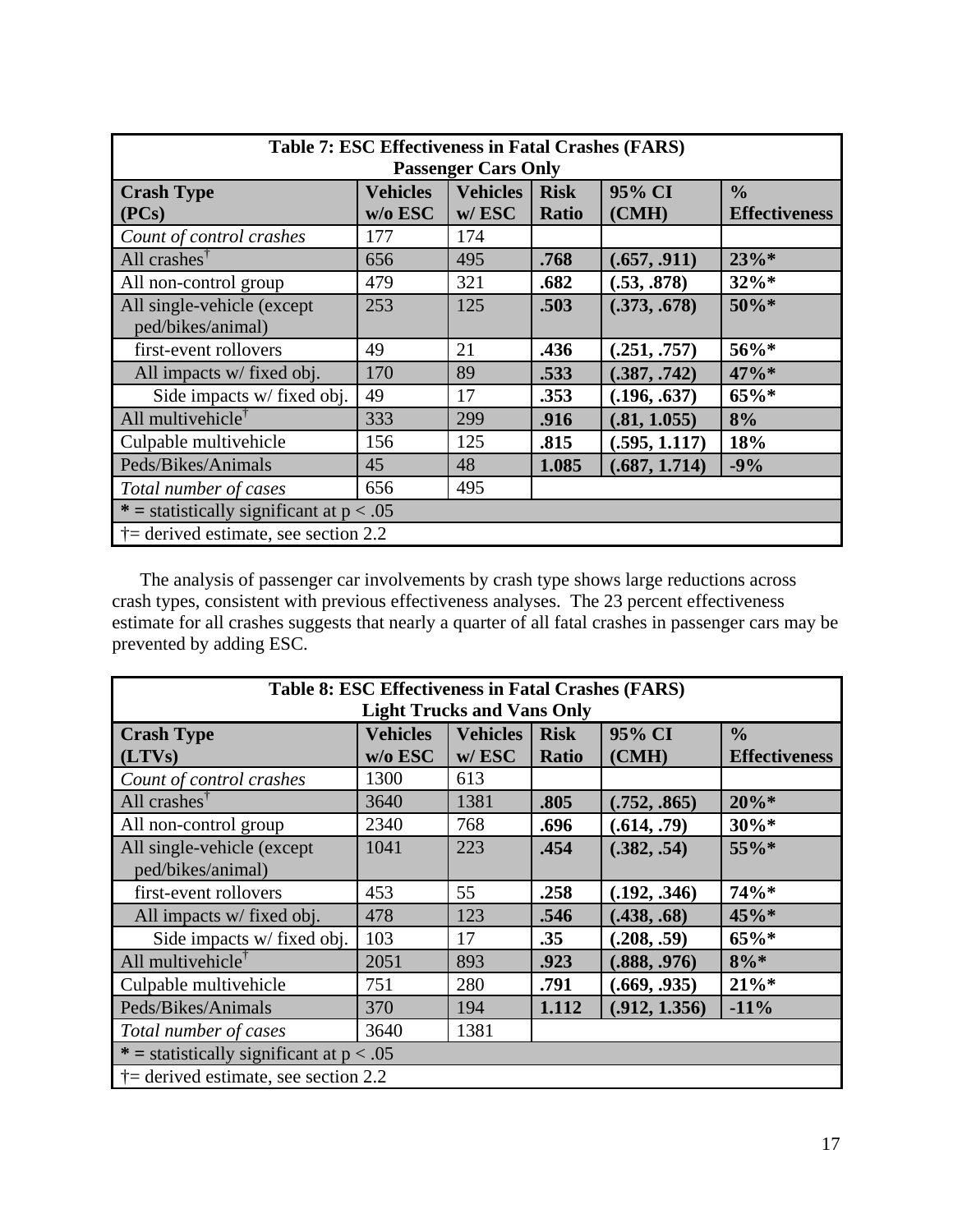| Table 7: ESC Effectiveness in Fatal Crashes (FARS) |                 |                 |              |               |                      |  |
|----------------------------------------------------|-----------------|-----------------|--------------|---------------|----------------------|--|
| <b>Passenger Cars Only</b>                         |                 |                 |              |               |                      |  |
| <b>Crash Type</b>                                  | <b>Vehicles</b> | <b>Vehicles</b> | <b>Risk</b>  | 95% CI        | $\frac{0}{0}$        |  |
| (PCs)                                              | w/o ESC         | w/ESC           | <b>Ratio</b> | (CMH)         | <b>Effectiveness</b> |  |
| Count of control crashes                           | 177             | 174             |              |               |                      |  |
| All crashes $^{\dagger}$                           | 656             | 495             | .768         | (.657, .911)  | 23%                  |  |
| All non-control group                              | 479             | 321             | .682         | (.53, .878)   | $32\%*$              |  |
| All single-vehicle (except                         | 253             | 125             | .503         | (.373, .678)  | 50%*                 |  |
| ped/bikes/animal)                                  |                 |                 |              |               |                      |  |
| first-event rollovers                              | 49              | 21              | .436         | (.251, .757)  | 56%*                 |  |
| All impacts w/ fixed obj.                          | 170             | 89              | .533         | (.387, .742)  | 47%*                 |  |
| Side impacts w/ fixed obj.                         | 49              | 17              | .353         | (.196, .637)  | $65\%*$              |  |
| All multivehicle <sup>†</sup>                      | 333             | 299             | .916         | (.81, 1.055)  | 8%                   |  |
| Culpable multivehicle                              | 156             | 125             | .815         | (.595, 1.117) | 18%                  |  |
| Peds/Bikes/Animals                                 | 45              | 48              | 1.085        | (.687, 1.714) | $-9%$                |  |
| 495<br>656<br>Total number of cases                |                 |                 |              |               |                      |  |
| * = statistically significant at $p < .05$         |                 |                 |              |               |                      |  |
| $\dagger$ = derived estimate, see section 2.2      |                 |                 |              |               |                      |  |

The analysis of passenger car involvements by crash type shows large reductions across crash types, consistent with previous effectiveness analyses. The 23 percent effectiveness estimate for all crashes suggests that nearly a quarter of all fatal crashes in passenger cars may be prevented by adding ESC.

| Table 8: ESC Effectiveness in Fatal Crashes (FARS) |                            |                             |                             |                 |                                       |
|----------------------------------------------------|----------------------------|-----------------------------|-----------------------------|-----------------|---------------------------------------|
| <b>Light Trucks and Vans Only</b>                  |                            |                             |                             |                 |                                       |
| <b>Crash Type</b><br>(LTVs)                        | <b>Vehicles</b><br>w/o ESC | <b>Vehicles</b><br>$w/$ ESC | <b>Risk</b><br><b>Ratio</b> | 95% CI<br>(CMH) | $\frac{0}{0}$<br><b>Effectiveness</b> |
|                                                    |                            |                             |                             |                 |                                       |
| Count of control crashes                           | 1300                       | 613                         |                             |                 |                                       |
| All crashes $^{\dagger}$                           | 3640                       | 1381                        | .805                        | (.752, .865)    | $20\%*$                               |
| All non-control group                              | 2340                       | 768                         | .696                        | (.614, .79)     | $30\%*$                               |
| All single-vehicle (except                         | 1041                       | 223                         | .454                        | (.382, .54)     | 55%*                                  |
| ped/bikes/animal)                                  |                            |                             |                             |                 |                                       |
| first-event rollovers                              | 453                        | 55                          | .258                        | (.192, .346)    | 74%*                                  |
| All impacts w/ fixed obj.                          | 478                        | 123                         | .546                        | (.438, .68)     | 45%*                                  |
| Side impacts w/ fixed obj.                         | 103                        | 17                          | .35                         | (.208, .59)     | 65%*                                  |
| All multive hicle <sup><math>\dagger</math></sup>  | 2051                       | 893                         | .923                        | (.888, .976)    | $8\%*$                                |
| Culpable multivehicle                              | 751                        | 280                         | .791                        | (.669, .935)    | $21\%*$                               |
| Peds/Bikes/Animals                                 | 370                        | 194                         | 1.112                       | (.912, 1.356)   | $-11%$                                |
| Total number of cases                              | 3640                       | 1381                        |                             |                 |                                       |
| * = statistically significant at $p < .05$         |                            |                             |                             |                 |                                       |
| $\dagger$ = derived estimate, see section 2.2      |                            |                             |                             |                 |                                       |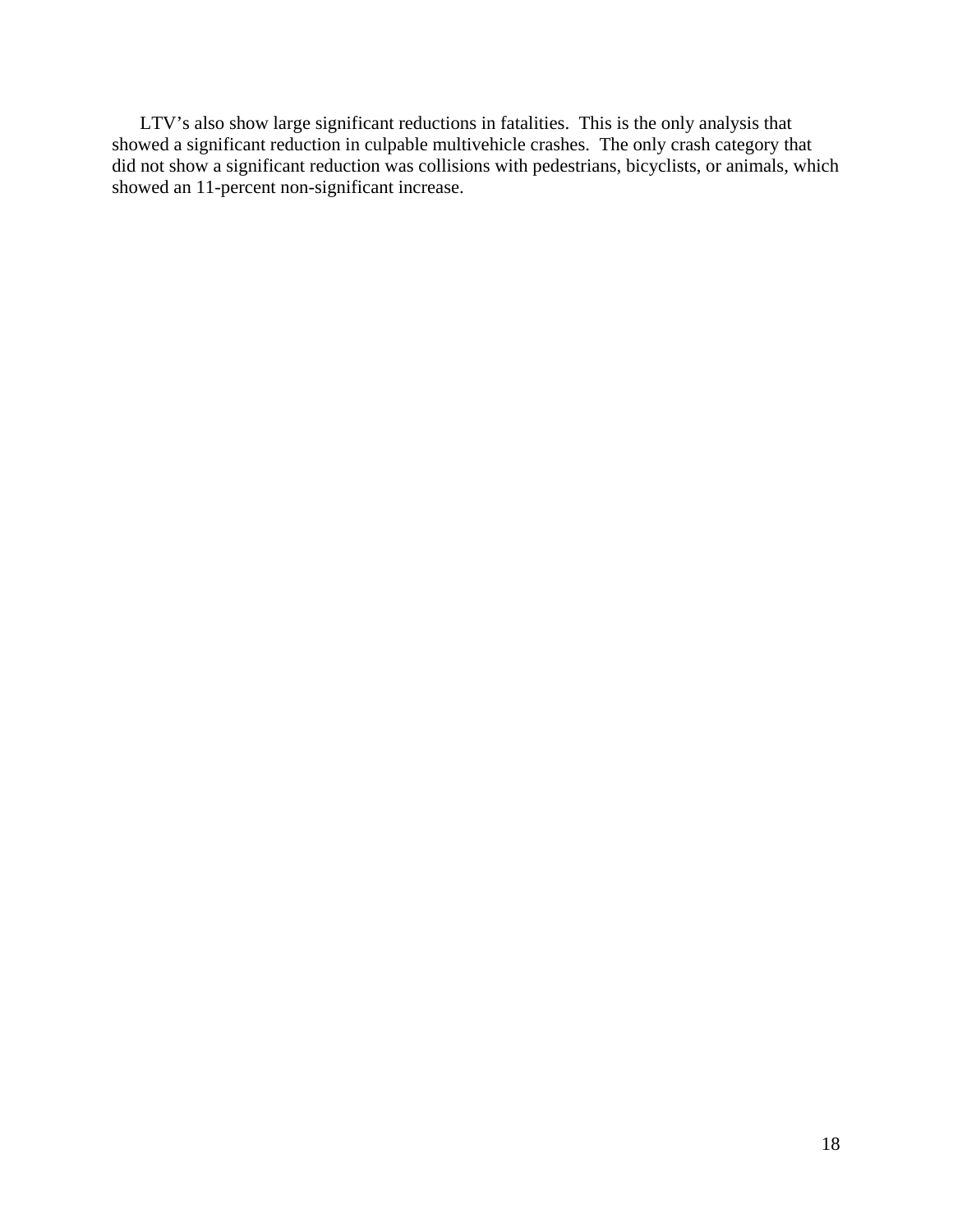LTV's also show large significant reductions in fatalities. This is the only analysis that showed a significant reduction in culpable multivehicle crashes. The only crash category that did not show a significant reduction was collisions with pedestrians, bicyclists, or animals, which showed an 11-percent non-significant increase.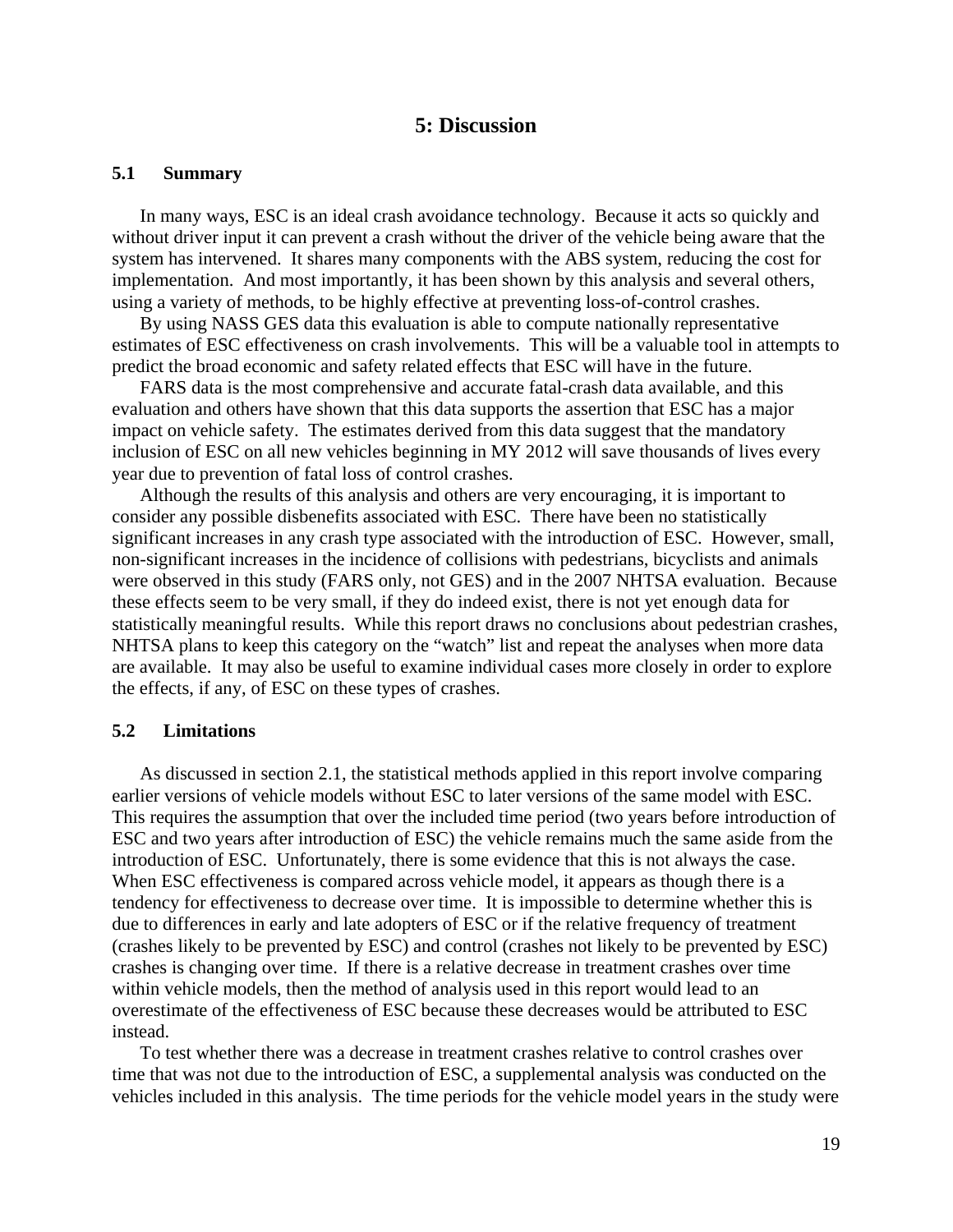# **5: Discussion**

#### **5.1 Summary**

In many ways, ESC is an ideal crash avoidance technology. Because it acts so quickly and without driver input it can prevent a crash without the driver of the vehicle being aware that the system has intervened. It shares many components with the ABS system, reducing the cost for implementation. And most importantly, it has been shown by this analysis and several others, using a variety of methods, to be highly effective at preventing loss-of-control crashes.

By using NASS GES data this evaluation is able to compute nationally representative estimates of ESC effectiveness on crash involvements. This will be a valuable tool in attempts to predict the broad economic and safety related effects that ESC will have in the future.

FARS data is the most comprehensive and accurate fatal-crash data available, and this evaluation and others have shown that this data supports the assertion that ESC has a major impact on vehicle safety. The estimates derived from this data suggest that the mandatory inclusion of ESC on all new vehicles beginning in MY 2012 will save thousands of lives every year due to prevention of fatal loss of control crashes.

Although the results of this analysis and others are very encouraging, it is important to consider any possible disbenefits associated with ESC. There have been no statistically significant increases in any crash type associated with the introduction of ESC. However, small, non-significant increases in the incidence of collisions with pedestrians, bicyclists and animals were observed in this study (FARS only, not GES) and in the 2007 NHTSA evaluation. Because these effects seem to be very small, if they do indeed exist, there is not yet enough data for statistically meaningful results. While this report draws no conclusions about pedestrian crashes, NHTSA plans to keep this category on the "watch" list and repeat the analyses when more data are available. It may also be useful to examine individual cases more closely in order to explore the effects, if any, of ESC on these types of crashes.

#### **5.2 Limitations**

As discussed in section 2.1, the statistical methods applied in this report involve comparing earlier versions of vehicle models without ESC to later versions of the same model with ESC. This requires the assumption that over the included time period (two years before introduction of ESC and two years after introduction of ESC) the vehicle remains much the same aside from the introduction of ESC. Unfortunately, there is some evidence that this is not always the case. When ESC effectiveness is compared across vehicle model, it appears as though there is a tendency for effectiveness to decrease over time. It is impossible to determine whether this is due to differences in early and late adopters of ESC or if the relative frequency of treatment (crashes likely to be prevented by ESC) and control (crashes not likely to be prevented by ESC) crashes is changing over time. If there is a relative decrease in treatment crashes over time within vehicle models, then the method of analysis used in this report would lead to an overestimate of the effectiveness of ESC because these decreases would be attributed to ESC instead.

To test whether there was a decrease in treatment crashes relative to control crashes over time that was not due to the introduction of ESC, a supplemental analysis was conducted on the vehicles included in this analysis. The time periods for the vehicle model years in the study were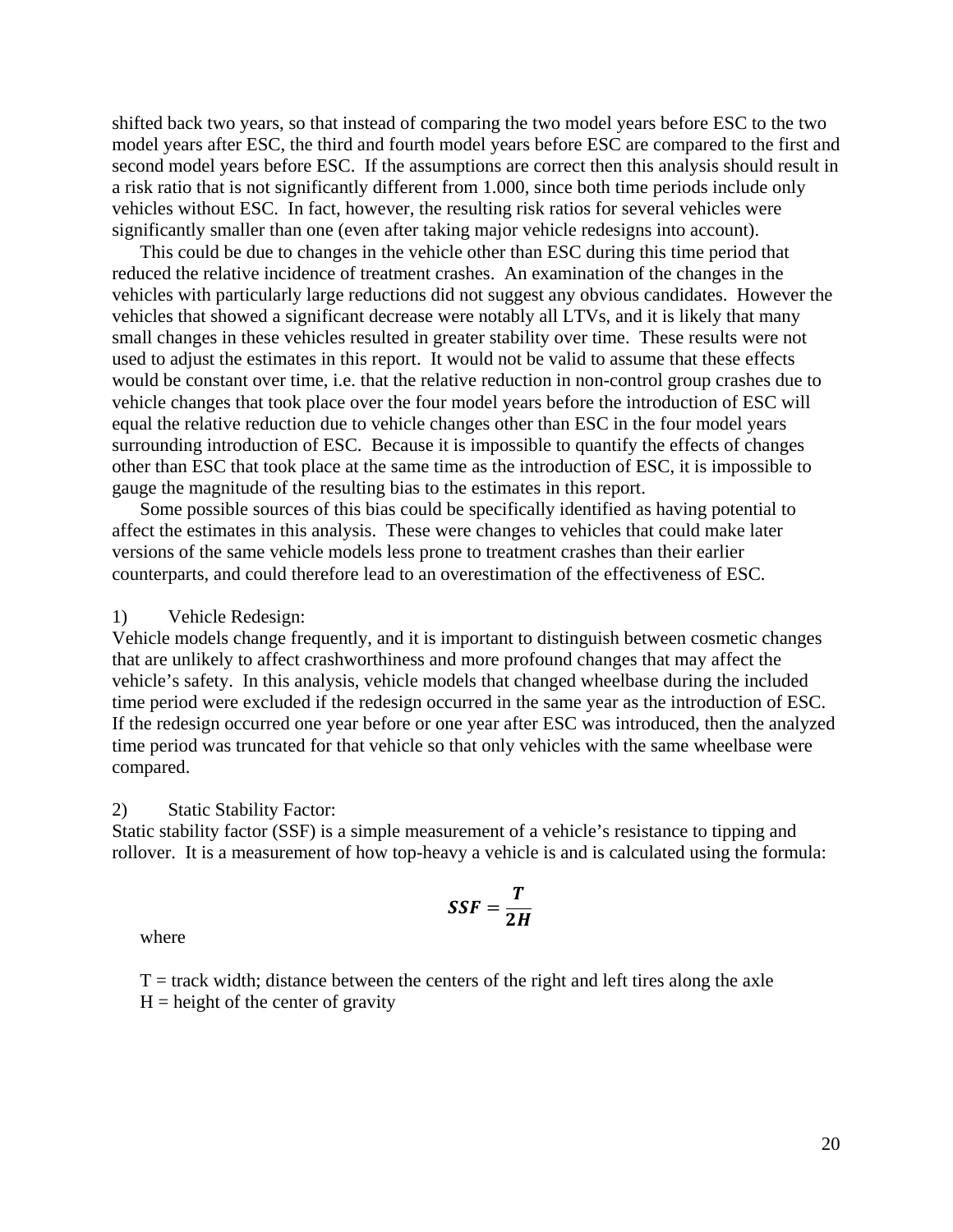shifted back two years, so that instead of comparing the two model years before ESC to the two model years after ESC, the third and fourth model years before ESC are compared to the first and second model years before ESC. If the assumptions are correct then this analysis should result in a risk ratio that is not significantly different from 1.000, since both time periods include only vehicles without ESC. In fact, however, the resulting risk ratios for several vehicles were significantly smaller than one (even after taking major vehicle redesigns into account).

This could be due to changes in the vehicle other than ESC during this time period that reduced the relative incidence of treatment crashes. An examination of the changes in the vehicles with particularly large reductions did not suggest any obvious candidates. However the vehicles that showed a significant decrease were notably all LTVs, and it is likely that many small changes in these vehicles resulted in greater stability over time. These results were not used to adjust the estimates in this report. It would not be valid to assume that these effects would be constant over time, i.e. that the relative reduction in non-control group crashes due to vehicle changes that took place over the four model years before the introduction of ESC will equal the relative reduction due to vehicle changes other than ESC in the four model years surrounding introduction of ESC. Because it is impossible to quantify the effects of changes other than ESC that took place at the same time as the introduction of ESC, it is impossible to gauge the magnitude of the resulting bias to the estimates in this report.

 Some possible sources of this bias could be specifically identified as having potential to affect the estimates in this analysis. These were changes to vehicles that could make later versions of the same vehicle models less prone to treatment crashes than their earlier counterparts, and could therefore lead to an overestimation of the effectiveness of ESC.

1) Vehicle Redesign:

Vehicle models change frequently, and it is important to distinguish between cosmetic changes that are unlikely to affect crashworthiness and more profound changes that may affect the vehicle's safety. In this analysis, vehicle models that changed wheelbase during the included time period were excluded if the redesign occurred in the same year as the introduction of ESC. If the redesign occurred one year before or one year after ESC was introduced, then the analyzed time period was truncated for that vehicle so that only vehicles with the same wheelbase were compared.

#### 2) Static Stability Factor:

Static stability factor (SSF) is a simple measurement of a vehicle's resistance to tipping and rollover. It is a measurement of how top-heavy a vehicle is and is calculated using the for mula:

$$
SSF=\frac{T}{2H}
$$

where

 $T =$  track width; distance between the centers of the right and left tires along the axle  $H =$  height of the center of gravity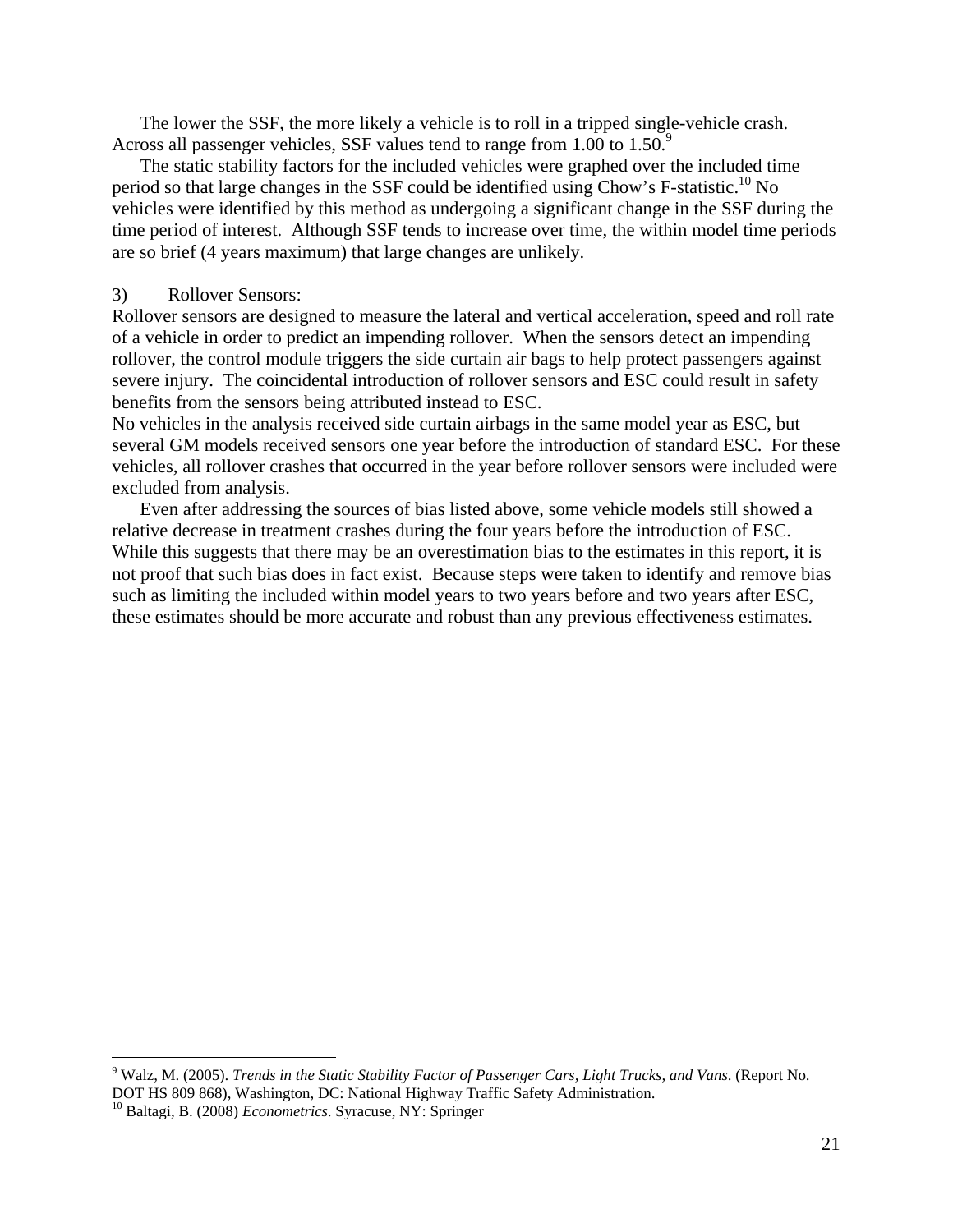The lower the SSF, the more likely a vehicle is to roll in a tripped single-vehicle crash. Across all passenger vehicles, SSF values tend to range from 1.00 to 1.50.<sup>9</sup>

The static stability factors for the included vehicles were graphed over the included time period so that large changes in the SSF could be identified using Chow's F-statistic.<sup>10</sup> No vehicles were identified by this method as undergoing a significant change in the SSF during the time period of interest. Although SSF tends to increase over time, the within model time periods are so brief (4 years maximum) that large changes are unlikely.

#### 3) Rollover Sensors:

Rollover sensors are designed to measure the lateral and vertical acceleration, speed and roll rate of a vehicle in order to predict an impending rollover. When the sensors detect an impending rollover, the control module triggers the side curtain air bags to help protect passengers against severe injury. The coincidental introduction of rollover sensors and ESC could result in safety benefits from the sensors being attributed instead to ESC.

No vehicles in the analysis received side curtain airbags in the same model year as ESC, but several GM models received sensors one year before the introduction of standard ESC. For these vehicles, all rollover crashes that occurred in the year before rollover sensors were included were excluded from analysis.

Even after addressing the sources of bias listed above, some vehicle models still showed a relative decrease in treatment crashes during the four years before the introduction of ESC. While this suggests that there may be an overestimation bias to the estimates in this report, it is not proof that such bias does in fact exist. Because steps were taken to identify and remove bias such as limiting the included within model years to two years before and two years after ESC, these estimates should be more accurate and robust than any previous effectiveness estimates.

<sup>9</sup> Walz, M. (2005). *Trends in the Static Stability Factor of Passenger Cars, Light Trucks, and Vans*. (Report No. DOT HS 809 868), Washington, DC: National Highway Traffic Safety Administration.

<sup>10</sup> Baltagi, B. (2008) *Econometrics*. Syracuse, NY: Springer